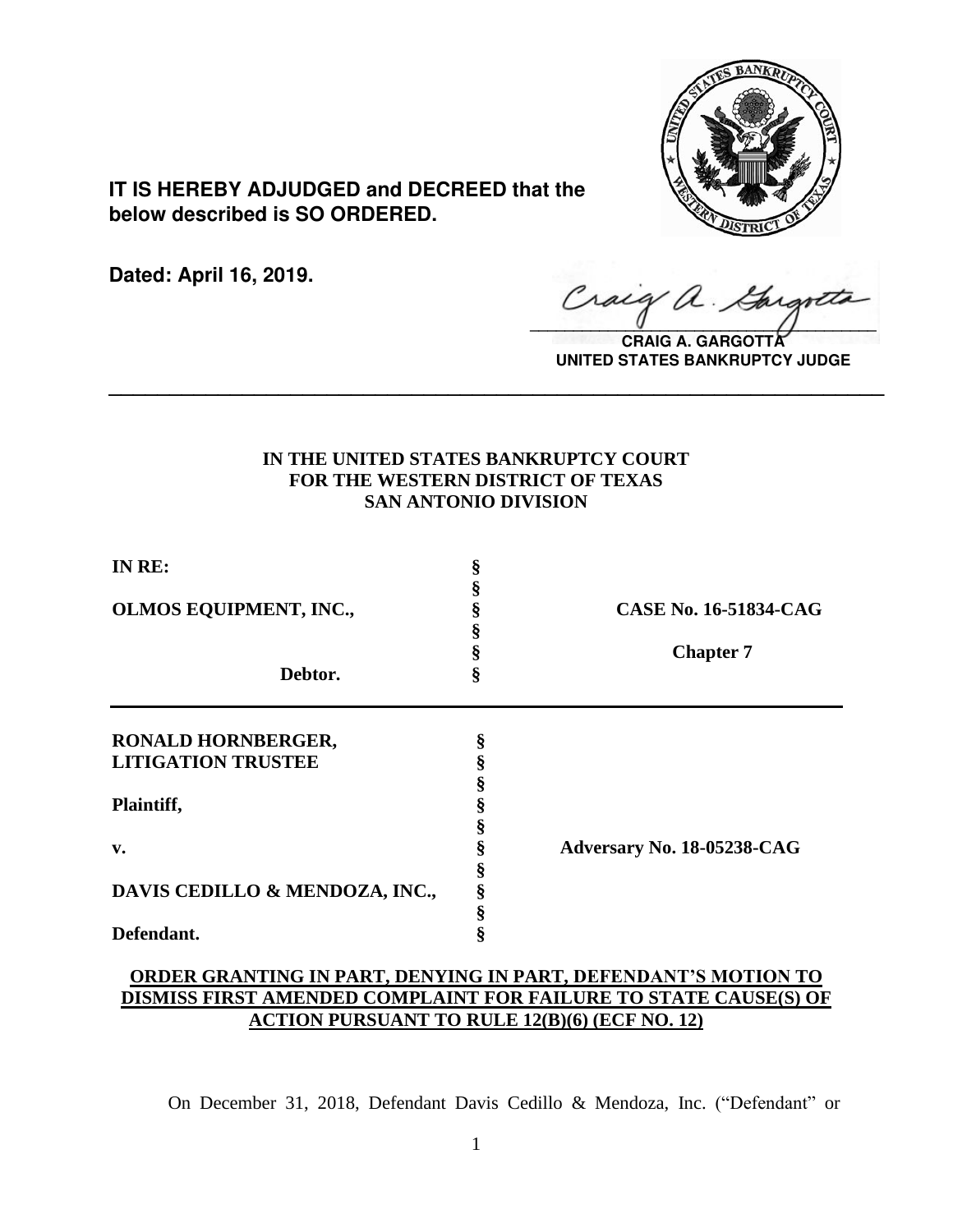

**IT IS HEREBY ADJUDGED and DECREED that the below described is SO ORDERED.**

**Dated: April 16, 2019.**

 $\sqrt{2}$ 

**CRAIG A. GARGOTT UNITED STATES BANKRUPTCY JUDGE**

# **IN THE UNITED STATES BANKRUPTCY COURT FOR THE WESTERN DISTRICT OF TEXAS SAN ANTONIO DIVISION**

**\_\_\_\_\_\_\_\_\_\_\_\_\_\_\_\_\_\_\_\_\_\_\_\_\_\_\_\_\_\_\_\_\_\_\_\_\_\_\_\_\_\_\_\_\_\_\_\_\_\_\_\_\_\_\_\_\_\_\_\_\_\_\_\_**

| IN RE:                         | ş |                              |
|--------------------------------|---|------------------------------|
|                                |   |                              |
| OLMOS EQUIPMENT, INC.,         |   | <b>CASE No. 16-51834-CAG</b> |
|                                |   |                              |
|                                |   | <b>Chapter 7</b>             |
| Debtor.                        | ş |                              |
| RONALD HORNBERGER,             | § |                              |
| <b>LITIGATION TRUSTEE</b>      |   |                              |
|                                |   |                              |
|                                |   |                              |
| Plaintiff,                     |   |                              |
|                                |   |                              |
| v.                             |   | Adversary No. 18-05238-CAG   |
|                                |   |                              |
| DAVIS CEDILLO & MENDOZA, INC., | § |                              |
|                                | § |                              |
| Defendant.                     |   |                              |

# **ORDER GRANTING IN PART, DENYING IN PART, DEFENDANT'S MOTION TO DISMISS FIRST AMENDED COMPLAINT FOR FAILURE TO STATE CAUSE(S) OF ACTION PURSUANT TO RULE 12(B)(6) (ECF NO. 12)**

On December 31, 2018, Defendant Davis Cedillo & Mendoza, Inc. ("Defendant" or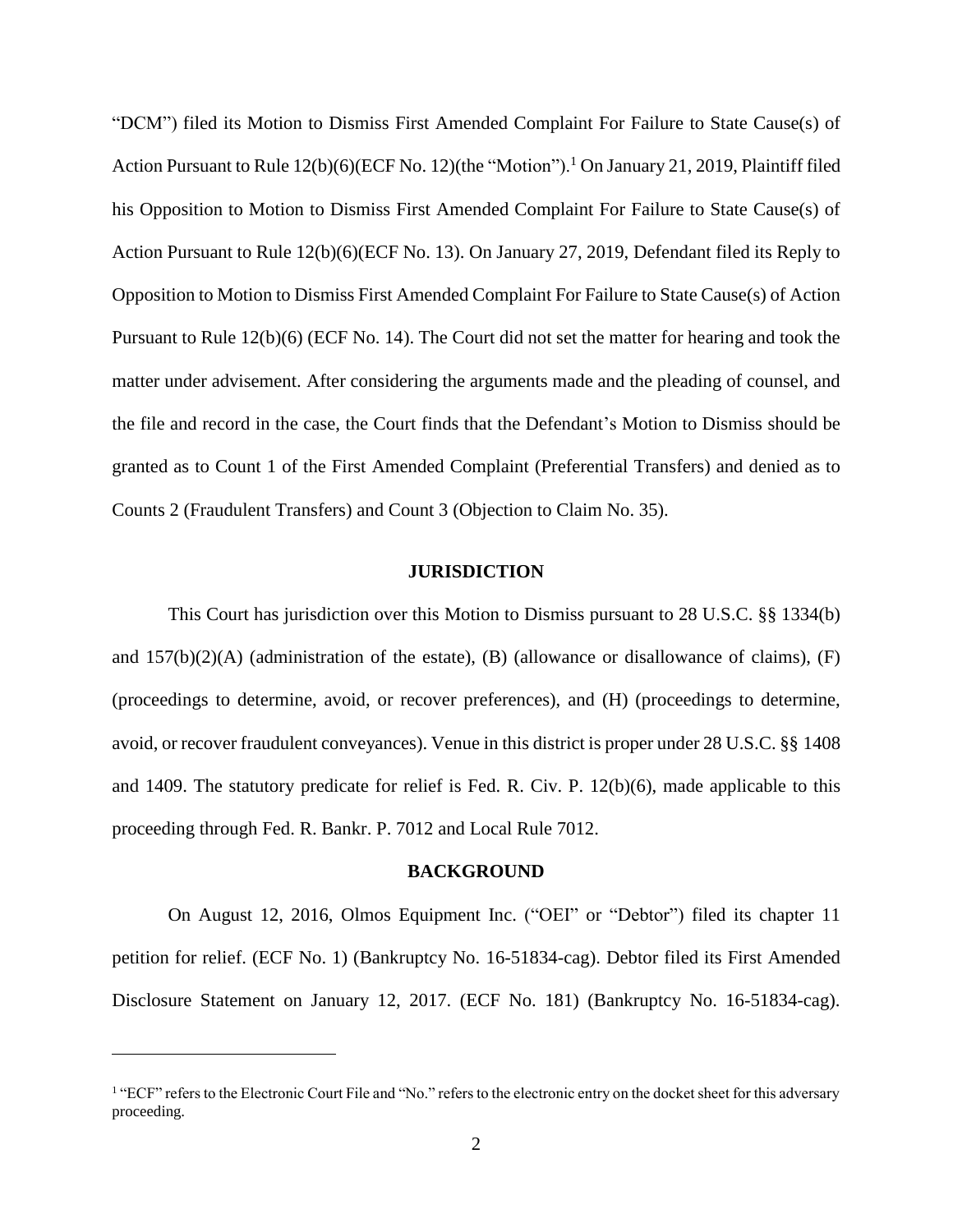"DCM") filed its Motion to Dismiss First Amended Complaint For Failure to State Cause(s) of Action Pursuant to Rule 12(b)(6)(ECF No. 12)(the "Motion").<sup>1</sup> On January 21, 2019, Plaintiff filed his Opposition to Motion to Dismiss First Amended Complaint For Failure to State Cause(s) of Action Pursuant to Rule 12(b)(6)(ECF No. 13). On January 27, 2019, Defendant filed its Reply to Opposition to Motion to Dismiss First Amended Complaint For Failure to State Cause(s) of Action Pursuant to Rule 12(b)(6) (ECF No. 14). The Court did not set the matter for hearing and took the matter under advisement. After considering the arguments made and the pleading of counsel, and the file and record in the case, the Court finds that the Defendant's Motion to Dismiss should be granted as to Count 1 of the First Amended Complaint (Preferential Transfers) and denied as to Counts 2 (Fraudulent Transfers) and Count 3 (Objection to Claim No. 35).

#### **JURISDICTION**

This Court has jurisdiction over this Motion to Dismiss pursuant to 28 U.S.C. §§ 1334(b) and  $157(b)(2)(A)$  (administration of the estate), (B) (allowance or disallowance of claims), (F) (proceedings to determine, avoid, or recover preferences), and (H) (proceedings to determine, avoid, or recover fraudulent conveyances). Venue in this district is proper under 28 U.S.C. §§ 1408 and 1409. The statutory predicate for relief is Fed. R. Civ. P. 12(b)(6), made applicable to this proceeding through Fed. R. Bankr. P. 7012 and Local Rule 7012.

### **BACKGROUND**

On August 12, 2016, Olmos Equipment Inc. ("OEI" or "Debtor") filed its chapter 11 petition for relief. (ECF No. 1) (Bankruptcy No. 16-51834-cag). Debtor filed its First Amended Disclosure Statement on January 12, 2017. (ECF No. 181) (Bankruptcy No. 16-51834-cag).

<sup>&</sup>lt;sup>1</sup> "ECF" refers to the Electronic Court File and "No." refers to the electronic entry on the docket sheet for this adversary proceeding.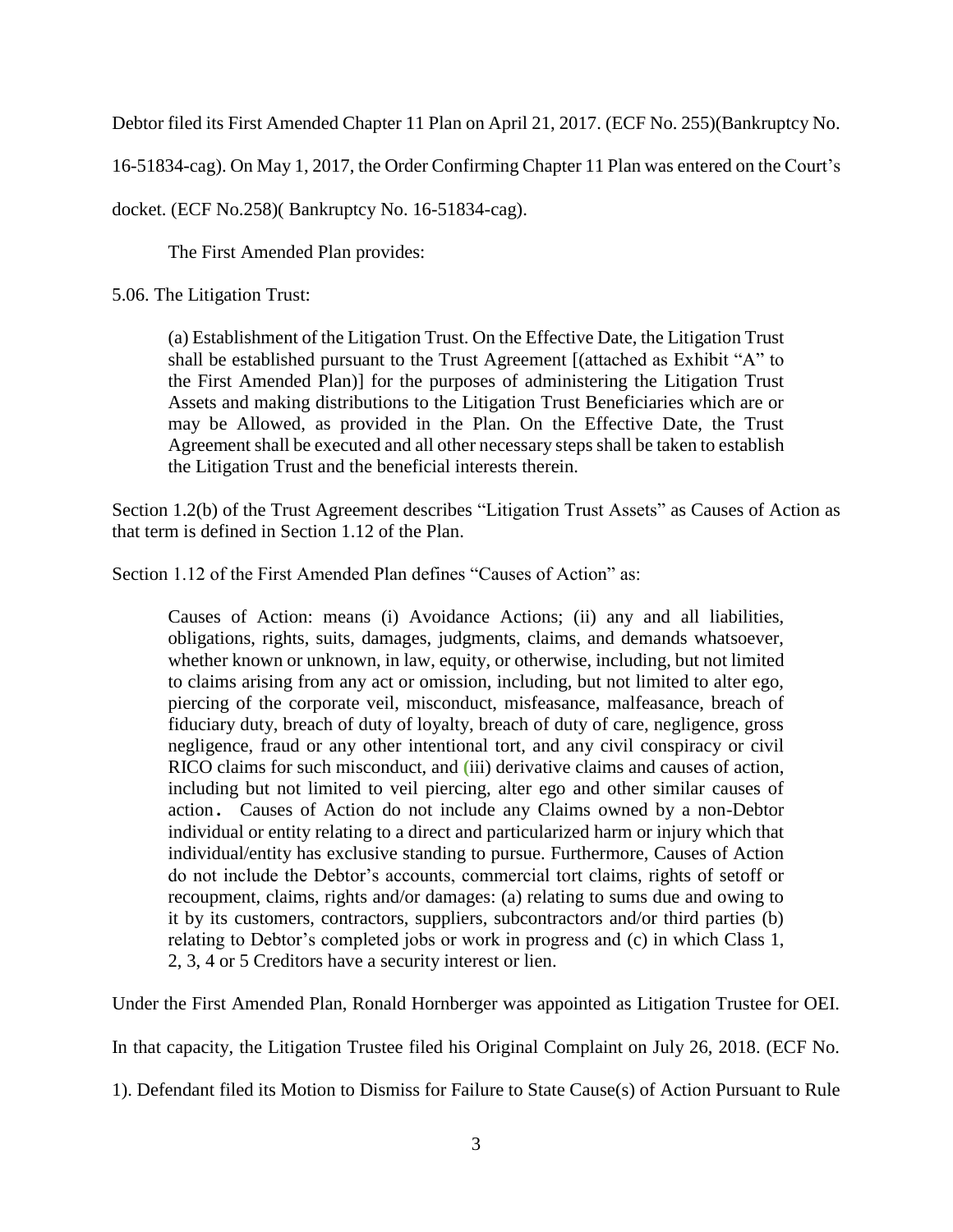Debtor filed its First Amended Chapter 11 Plan on April 21, 2017. (ECF No. 255)(Bankruptcy No.

16-51834-cag). On May 1, 2017, the Order Confirming Chapter 11 Plan was entered on the Court's

docket. (ECF No.258)( Bankruptcy No. 16-51834-cag).

The First Amended Plan provides:

5.06. The Litigation Trust:

(a) Establishment of the Litigation Trust. On the Effective Date, the Litigation Trust shall be established pursuant to the Trust Agreement [(attached as Exhibit "A" to the First Amended Plan)] for the purposes of administering the Litigation Trust Assets and making distributions to the Litigation Trust Beneficiaries which are or may be Allowed, as provided in the Plan. On the Effective Date, the Trust Agreement shall be executed and all other necessary steps shall be taken to establish the Litigation Trust and the beneficial interests therein.

Section 1.2(b) of the Trust Agreement describes "Litigation Trust Assets" as Causes of Action as that term is defined in Section 1.12 of the Plan.

Section 1.12 of the First Amended Plan defines "Causes of Action" as:

Causes of Action: means (i) Avoidance Actions; (ii) any and all liabilities, obligations, rights, suits, damages, judgments, claims, and demands whatsoever, whether known or unknown, in law, equity, or otherwise, including, but not limited to claims arising from any act or omission, including, but not limited to alter ego, piercing of the corporate veil, misconduct, misfeasance, malfeasance, breach of fiduciary duty, breach of duty of loyalty, breach of duty of care, negligence, gross negligence, fraud or any other intentional tort, and any civil conspiracy or civil RICO claims for such misconduct, and **(**iii) derivative claims and causes of action, including but not limited to veil piercing, alter ego and other similar causes of action. Causes of Action do not include any Claims owned by a non-Debtor individual or entity relating to a direct and particularized harm or injury which that individual/entity has exclusive standing to pursue. Furthermore, Causes of Action do not include the Debtor's accounts, commercial tort claims, rights of setoff or recoupment, claims, rights and/or damages: (a) relating to sums due and owing to it by its customers, contractors, suppliers, subcontractors and/or third parties (b) relating to Debtor's completed jobs or work in progress and (c) in which Class 1, 2, 3, 4 or 5 Creditors have a security interest or lien.

Under the First Amended Plan, Ronald Hornberger was appointed as Litigation Trustee for OEI.

In that capacity, the Litigation Trustee filed his Original Complaint on July 26, 2018. (ECF No.

1). Defendant filed its Motion to Dismiss for Failure to State Cause(s) of Action Pursuant to Rule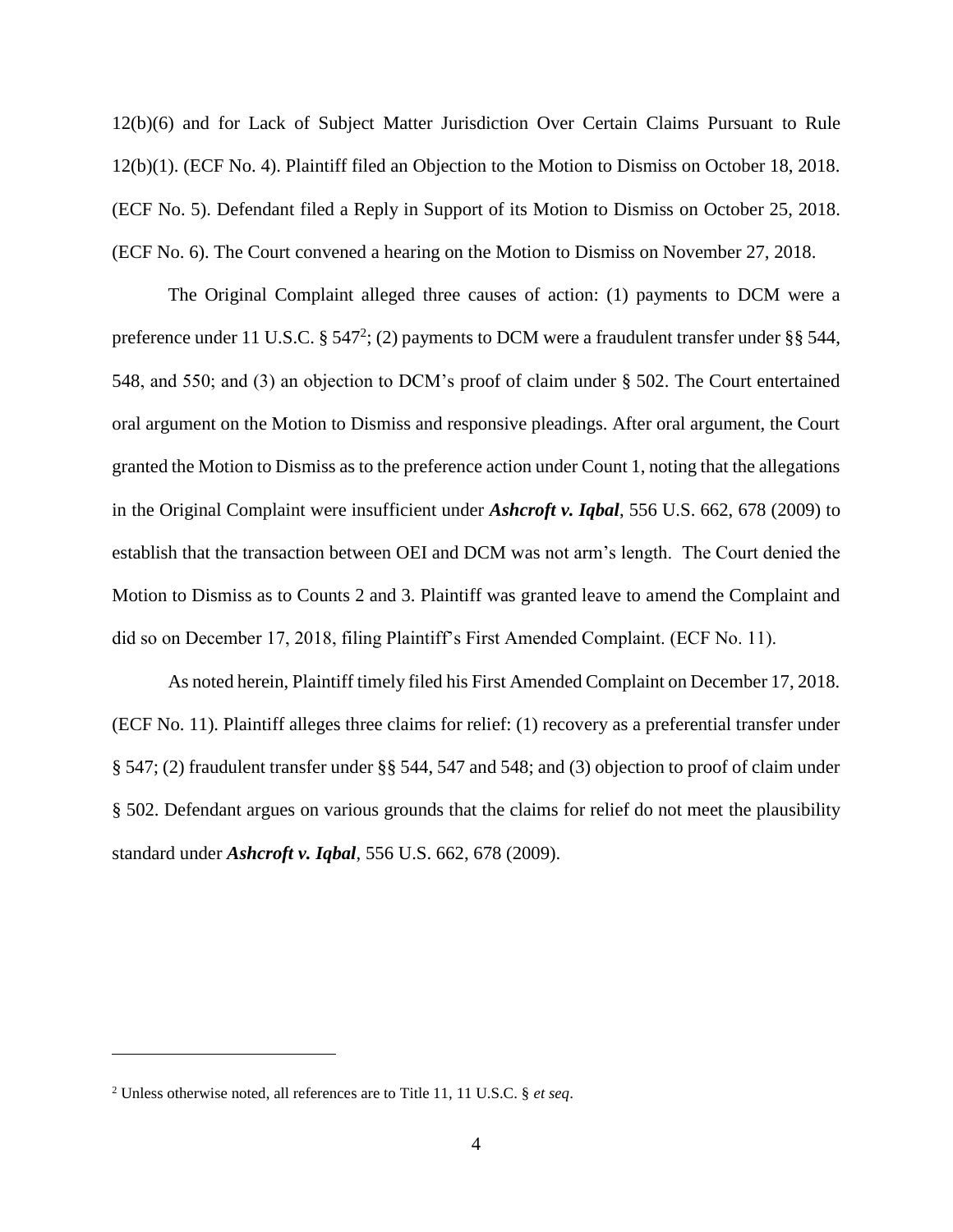12(b)(6) and for Lack of Subject Matter Jurisdiction Over Certain Claims Pursuant to Rule 12(b)(1). (ECF No. 4). Plaintiff filed an Objection to the Motion to Dismiss on October 18, 2018. (ECF No. 5). Defendant filed a Reply in Support of its Motion to Dismiss on October 25, 2018. (ECF No. 6). The Court convened a hearing on the Motion to Dismiss on November 27, 2018.

The Original Complaint alleged three causes of action: (1) payments to DCM were a preference under 11 U.S.C. § 547<sup>2</sup>; (2) payments to DCM were a fraudulent transfer under §§ 544, 548, and 550; and (3) an objection to DCM's proof of claim under § 502. The Court entertained oral argument on the Motion to Dismiss and responsive pleadings. After oral argument, the Court granted the Motion to Dismiss as to the preference action under Count 1, noting that the allegations in the Original Complaint were insufficient under *Ashcroft v. Iqbal*, 556 U.S. 662, 678 (2009) to establish that the transaction between OEI and DCM was not arm's length. The Court denied the Motion to Dismiss as to Counts 2 and 3. Plaintiff was granted leave to amend the Complaint and did so on December 17, 2018, filing Plaintiff's First Amended Complaint. (ECF No. 11).

As noted herein, Plaintiff timely filed his First Amended Complaint on December 17, 2018. (ECF No. 11). Plaintiff alleges three claims for relief: (1) recovery as a preferential transfer under § 547; (2) fraudulent transfer under §§ 544, 547 and 548; and (3) objection to proof of claim under § 502. Defendant argues on various grounds that the claims for relief do not meet the plausibility standard under *Ashcroft v. Iqbal*, 556 U.S. 662, 678 (2009).

<sup>2</sup> Unless otherwise noted, all references are to Title 11, 11 U.S.C. § *et seq*.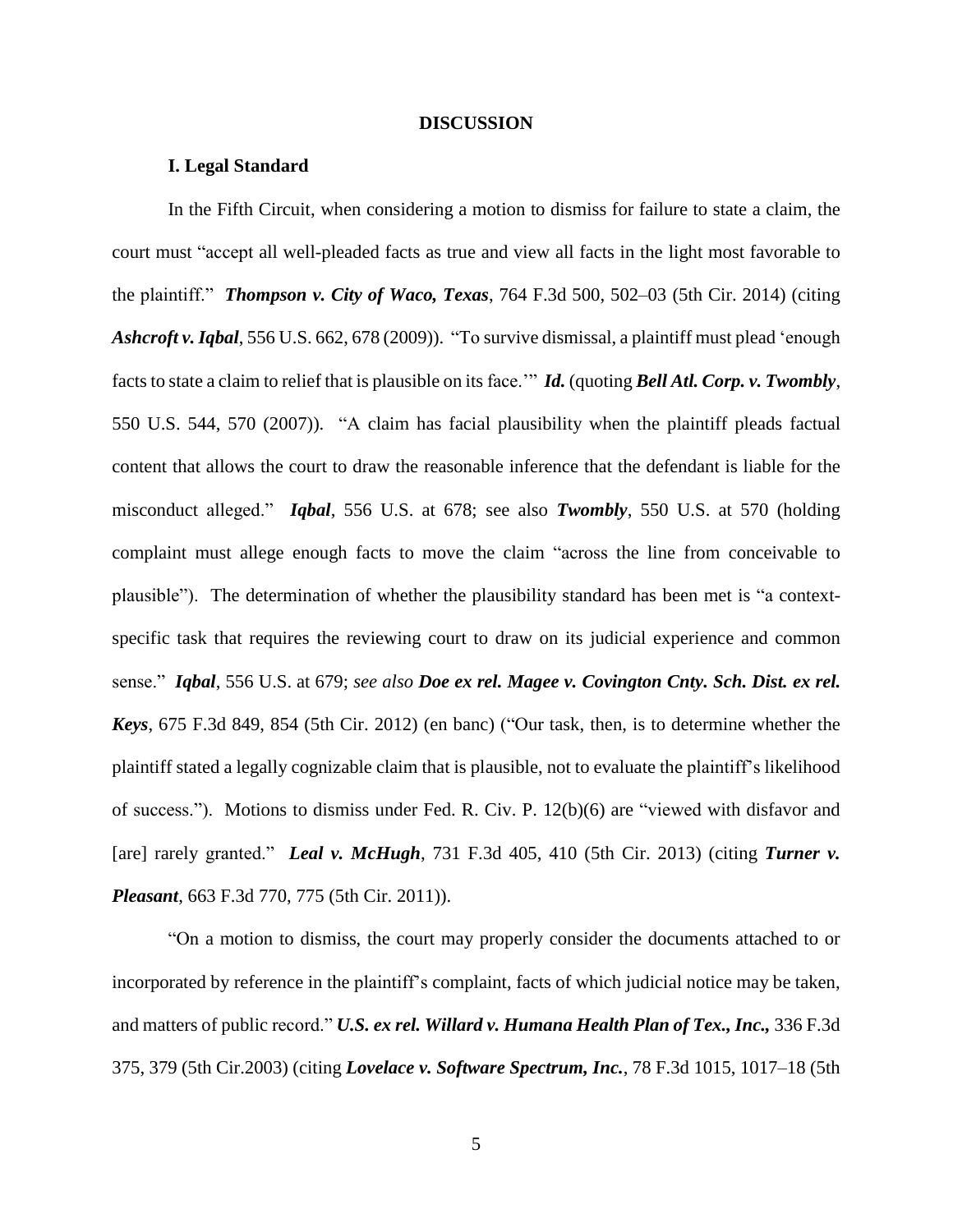#### **DISCUSSION**

### **I. Legal Standard**

In the Fifth Circuit, when considering a motion to dismiss for failure to state a claim, the court must "accept all well-pleaded facts as true and view all facts in the light most favorable to the plaintiff." *Thompson v. City of Waco, Texas*, 764 F.3d 500, 502–03 (5th Cir. 2014) (citing *Ashcroft v.Iqbal*, 556 U.S. 662, 678 (2009)). "To survive dismissal, a plaintiff must plead 'enough factsto state a claim to relief that is plausible on its face.'" *Id.* (quoting *Bell Atl. Corp. v. Twombly*, 550 U.S. 544, 570 (2007)). "A claim has facial plausibility when the plaintiff pleads factual content that allows the court to draw the reasonable inference that the defendant is liable for the misconduct alleged." *Iqbal*, 556 U.S. at 678; see also *Twombly*, 550 U.S. at 570 (holding complaint must allege enough facts to move the claim "across the line from conceivable to plausible"). The determination of whether the plausibility standard has been met is "a contextspecific task that requires the reviewing court to draw on its judicial experience and common sense." *Iqbal*, 556 U.S. at 679; *see also Doe ex rel. Magee v. Covington Cnty. Sch. Dist. ex rel. Keys*, 675 F.3d 849, 854 (5th Cir. 2012) (en banc) ("Our task, then, is to determine whether the plaintiff stated a legally cognizable claim that is plausible, not to evaluate the plaintiff's likelihood of success."). Motions to dismiss under Fed. R. Civ. P. 12(b)(6) are "viewed with disfavor and [are] rarely granted." *Leal v. McHugh*, 731 F.3d 405, 410 (5th Cir. 2013) (citing *Turner v. Pleasant*, 663 F.3d 770, 775 (5th Cir. 2011)).

"On a motion to dismiss, the court may properly consider the documents attached to or incorporated by reference in the plaintiff's complaint, facts of which judicial notice may be taken, and matters of public record." *U.S. ex rel. Willard v. Humana Health Plan of Tex., Inc.,* 336 F.3d 375, 379 (5th Cir.2003) (citing *Lovelace v. Software Spectrum, Inc.*, 78 F.3d 1015, 1017–18 (5th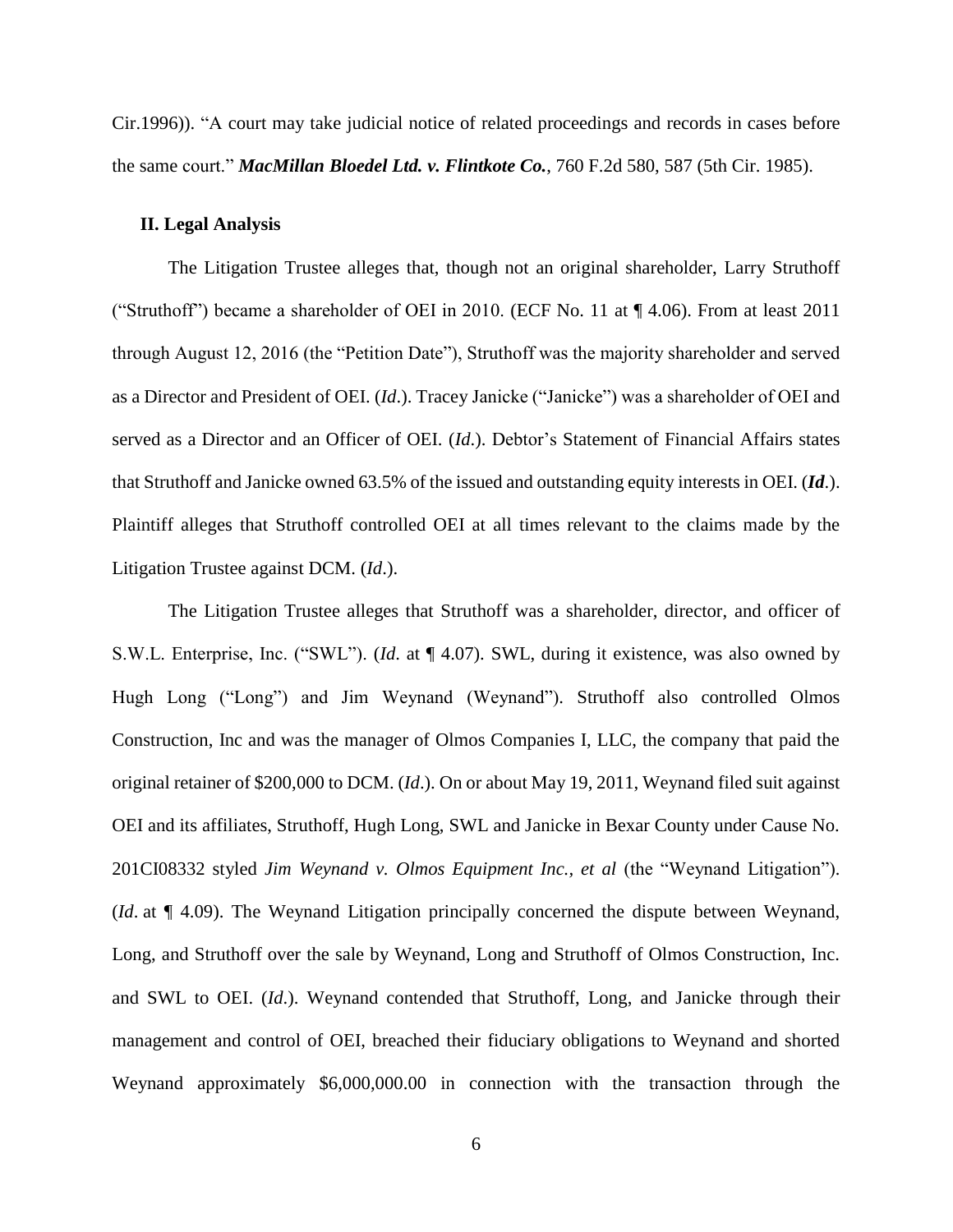Cir.1996)). "A court may take judicial notice of related proceedings and records in cases before the same court." *MacMillan Bloedel Ltd. v. Flintkote Co.*, 760 F.2d 580, 587 (5th Cir. 1985).

#### **II. Legal Analysis**

The Litigation Trustee alleges that, though not an original shareholder, Larry Struthoff ("Struthoff") became a shareholder of OEI in 2010. (ECF No. 11 at ¶ 4.06). From at least 2011 through August 12, 2016 (the "Petition Date"), Struthoff was the majority shareholder and served as a Director and President of OEI. (*Id*.). Tracey Janicke ("Janicke") was a shareholder of OEI and served as a Director and an Officer of OEI. (*Id*.). Debtor's Statement of Financial Affairs states that Struthoff and Janicke owned 63.5% of the issued and outstanding equity interests in OEI. (*Id*.). Plaintiff alleges that Struthoff controlled OEI at all times relevant to the claims made by the Litigation Trustee against DCM. (*Id*.).

The Litigation Trustee alleges that Struthoff was a shareholder, director, and officer of S.W.L. Enterprise, Inc. ("SWL"). (*Id*. at ¶ 4.07). SWL, during it existence, was also owned by Hugh Long ("Long") and Jim Weynand (Weynand"). Struthoff also controlled Olmos Construction, Inc and was the manager of Olmos Companies I, LLC, the company that paid the original retainer of \$200,000 to DCM. (*Id*.). On or about May 19, 2011, Weynand filed suit against OEI and its affiliates, Struthoff, Hugh Long, SWL and Janicke in Bexar County under Cause No. 201CI08332 styled *Jim Weynand v. Olmos Equipment Inc., et al* (the "Weynand Litigation")*.* (*Id*. at ¶ 4.09). The Weynand Litigation principally concerned the dispute between Weynand, Long, and Struthoff over the sale by Weynand, Long and Struthoff of Olmos Construction, Inc. and SWL to OEI. (*Id*.). Weynand contended that Struthoff, Long, and Janicke through their management and control of OEI, breached their fiduciary obligations to Weynand and shorted Weynand approximately \$6,000,000.00 in connection with the transaction through the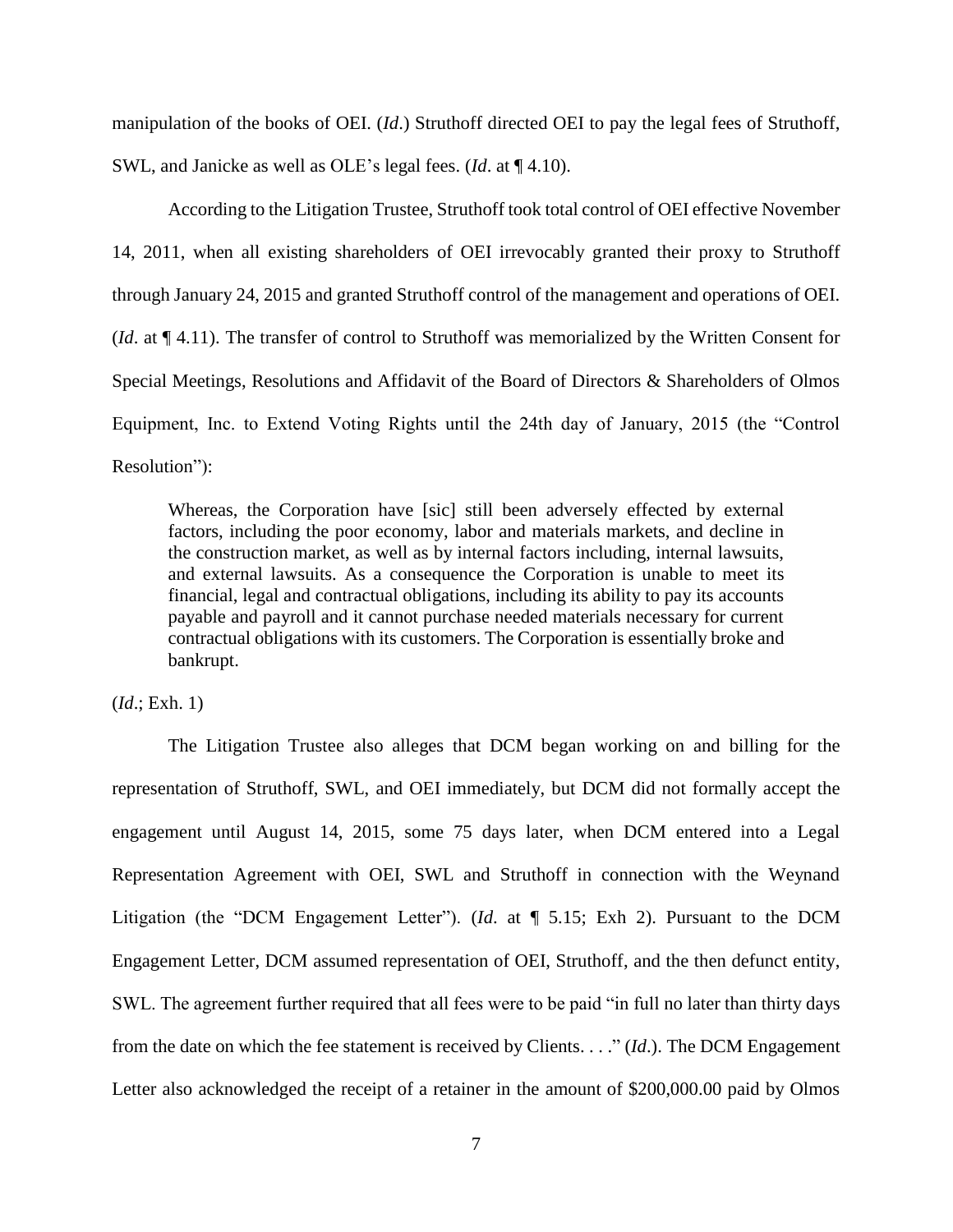manipulation of the books of OEI. (*Id*.) Struthoff directed OEI to pay the legal fees of Struthoff, SWL, and Janicke as well as OLE's legal fees. (*Id*. at ¶ 4.10).

According to the Litigation Trustee, Struthoff took total control of OEI effective November 14, 2011, when all existing shareholders of OEI irrevocably granted their proxy to Struthoff through January 24, 2015 and granted Struthoff control of the management and operations of OEI. (*Id*. at ¶ 4.11). The transfer of control to Struthoff was memorialized by the Written Consent for Special Meetings, Resolutions and Affidavit of the Board of Directors & Shareholders of Olmos Equipment, Inc. to Extend Voting Rights until the 24th day of January, 2015 (the "Control Resolution"):

Whereas, the Corporation have [sic] still been adversely effected by external factors, including the poor economy, labor and materials markets, and decline in the construction market, as well as by internal factors including, internal lawsuits, and external lawsuits. As a consequence the Corporation is unable to meet its financial, legal and contractual obligations, including its ability to pay its accounts payable and payroll and it cannot purchase needed materials necessary for current contractual obligations with its customers. The Corporation is essentially broke and bankrupt.

(*Id*.; Exh. 1)

The Litigation Trustee also alleges that DCM began working on and billing for the representation of Struthoff, SWL, and OEI immediately, but DCM did not formally accept the engagement until August 14, 2015, some 75 days later, when DCM entered into a Legal Representation Agreement with OEI, SWL and Struthoff in connection with the Weynand Litigation (the "DCM Engagement Letter"). (*Id*. at ¶ 5.15; Exh 2). Pursuant to the DCM Engagement Letter, DCM assumed representation of OEI, Struthoff, and the then defunct entity, SWL. The agreement further required that all fees were to be paid "in full no later than thirty days from the date on which the fee statement is received by Clients. . . ." (*Id*.). The DCM Engagement Letter also acknowledged the receipt of a retainer in the amount of \$200,000.00 paid by Olmos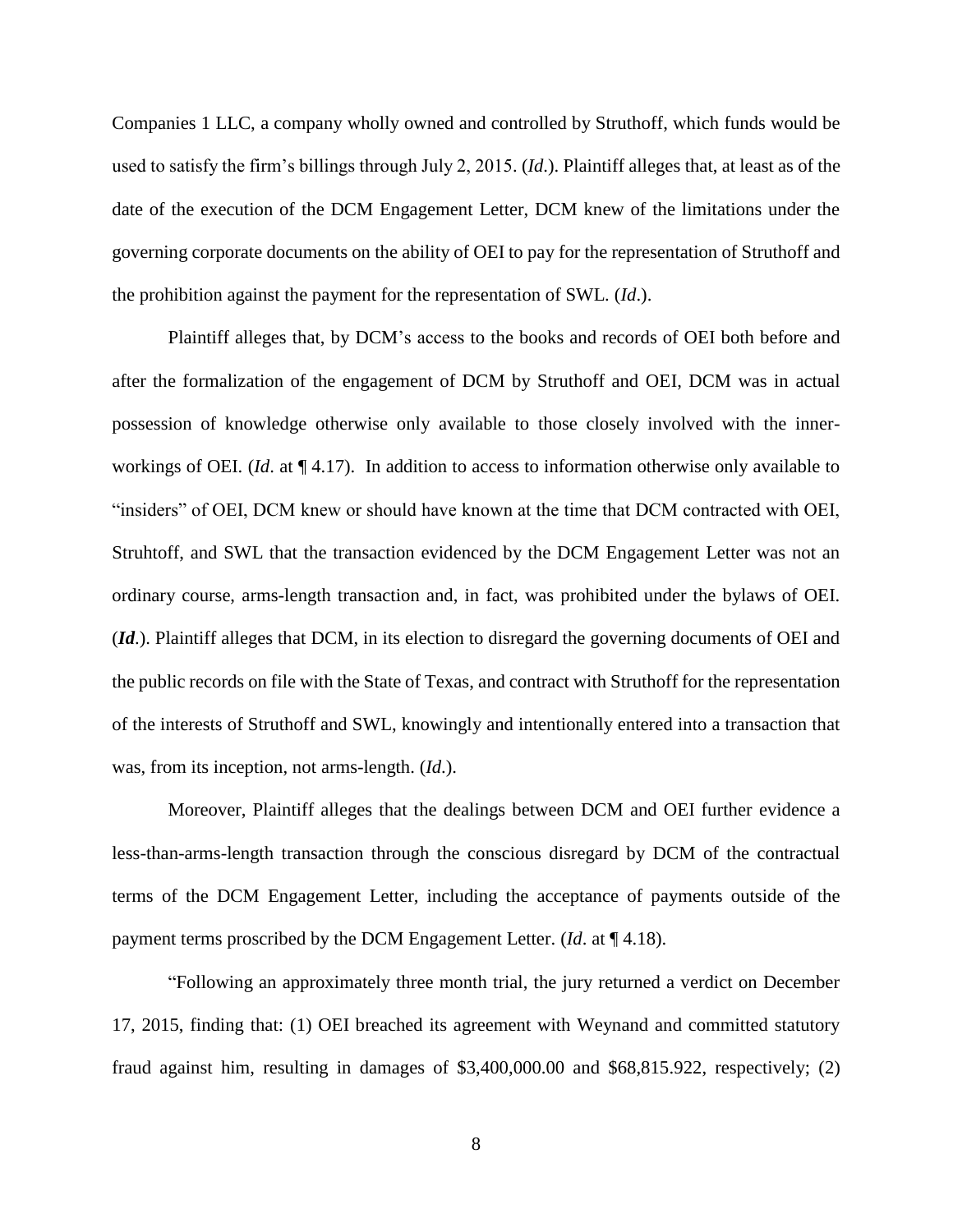Companies 1 LLC, a company wholly owned and controlled by Struthoff, which funds would be used to satisfy the firm's billings through July 2, 2015. (*Id*.). Plaintiff alleges that, at least as of the date of the execution of the DCM Engagement Letter, DCM knew of the limitations under the governing corporate documents on the ability of OEI to pay for the representation of Struthoff and the prohibition against the payment for the representation of SWL. (*Id*.).

Plaintiff alleges that, by DCM's access to the books and records of OEI both before and after the formalization of the engagement of DCM by Struthoff and OEI, DCM was in actual possession of knowledge otherwise only available to those closely involved with the innerworkings of OEI. (*Id*. at ¶ 4.17). In addition to access to information otherwise only available to "insiders" of OEI, DCM knew or should have known at the time that DCM contracted with OEI, Struhtoff, and SWL that the transaction evidenced by the DCM Engagement Letter was not an ordinary course, arms-length transaction and, in fact, was prohibited under the bylaws of OEI. (*Id*.). Plaintiff alleges that DCM, in its election to disregard the governing documents of OEI and the public records on file with the State of Texas, and contract with Struthoff for the representation of the interests of Struthoff and SWL, knowingly and intentionally entered into a transaction that was, from its inception, not arms-length. (*Id*.).

Moreover, Plaintiff alleges that the dealings between DCM and OEI further evidence a less-than-arms-length transaction through the conscious disregard by DCM of the contractual terms of the DCM Engagement Letter, including the acceptance of payments outside of the payment terms proscribed by the DCM Engagement Letter. (*Id*. at ¶ 4.18).

"Following an approximately three month trial, the jury returned a verdict on December 17, 2015, finding that: (1) OEI breached its agreement with Weynand and committed statutory fraud against him, resulting in damages of \$3,400,000.00 and \$68,815.922, respectively; (2)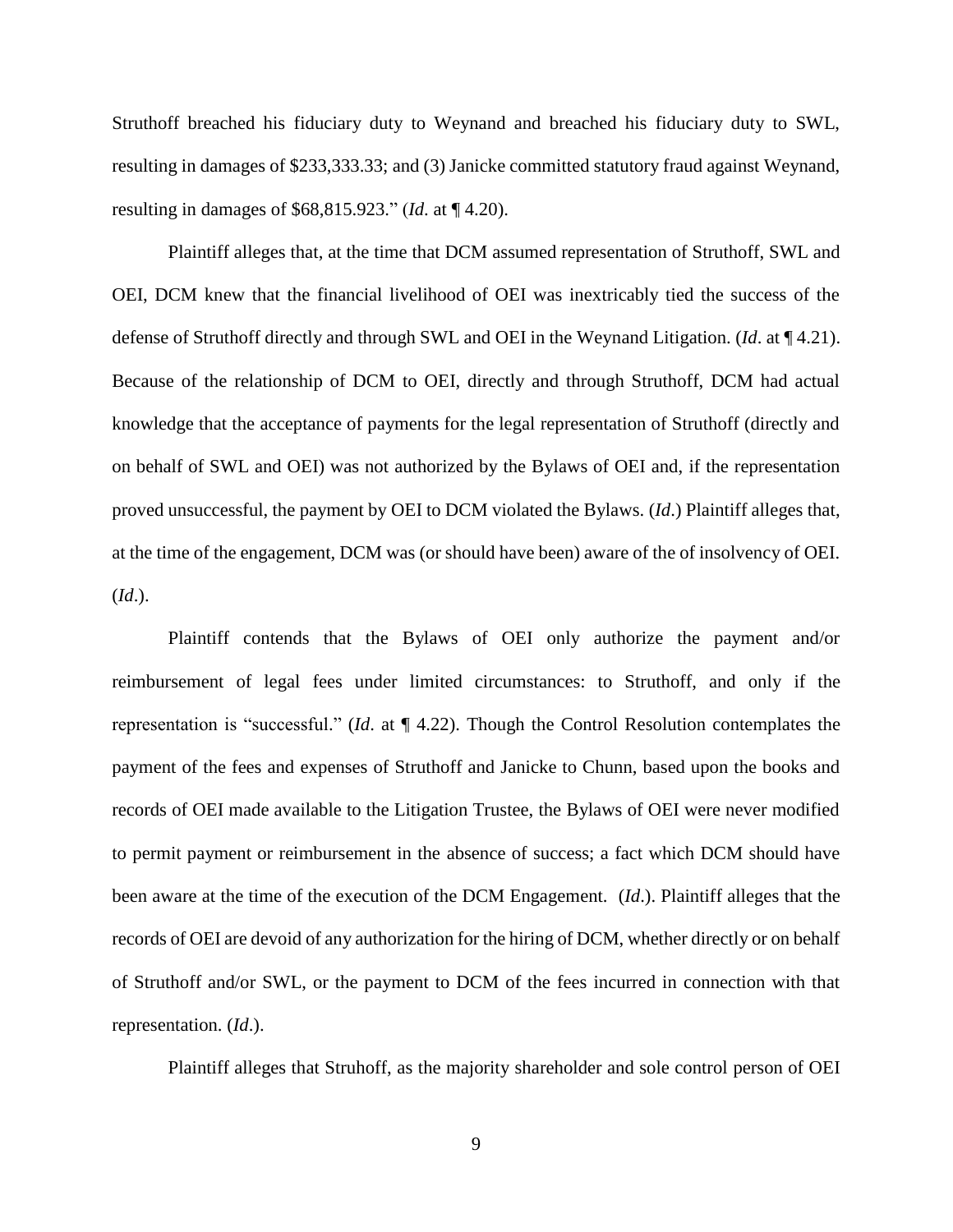Struthoff breached his fiduciary duty to Weynand and breached his fiduciary duty to SWL, resulting in damages of \$233,333.33; and (3) Janicke committed statutory fraud against Weynand, resulting in damages of \$68,815.923." (*Id*. at ¶ 4.20).

Plaintiff alleges that, at the time that DCM assumed representation of Struthoff, SWL and OEI, DCM knew that the financial livelihood of OEI was inextricably tied the success of the defense of Struthoff directly and through SWL and OEI in the Weynand Litigation. (*Id*. at ¶ 4.21). Because of the relationship of DCM to OEI, directly and through Struthoff, DCM had actual knowledge that the acceptance of payments for the legal representation of Struthoff (directly and on behalf of SWL and OEI) was not authorized by the Bylaws of OEI and, if the representation proved unsuccessful, the payment by OEI to DCM violated the Bylaws. (*Id*.) Plaintiff alleges that, at the time of the engagement, DCM was (or should have been) aware of the of insolvency of OEI. (*Id*.).

Plaintiff contends that the Bylaws of OEI only authorize the payment and/or reimbursement of legal fees under limited circumstances: to Struthoff, and only if the representation is "successful." (*Id*. at ¶ 4.22). Though the Control Resolution contemplates the payment of the fees and expenses of Struthoff and Janicke to Chunn, based upon the books and records of OEI made available to the Litigation Trustee, the Bylaws of OEI were never modified to permit payment or reimbursement in the absence of success; a fact which DCM should have been aware at the time of the execution of the DCM Engagement. (*Id*.). Plaintiff alleges that the records of OEI are devoid of any authorization for the hiring of DCM, whether directly or on behalf of Struthoff and/or SWL, or the payment to DCM of the fees incurred in connection with that representation. (*Id*.).

Plaintiff alleges that Struhoff, as the majority shareholder and sole control person of OEI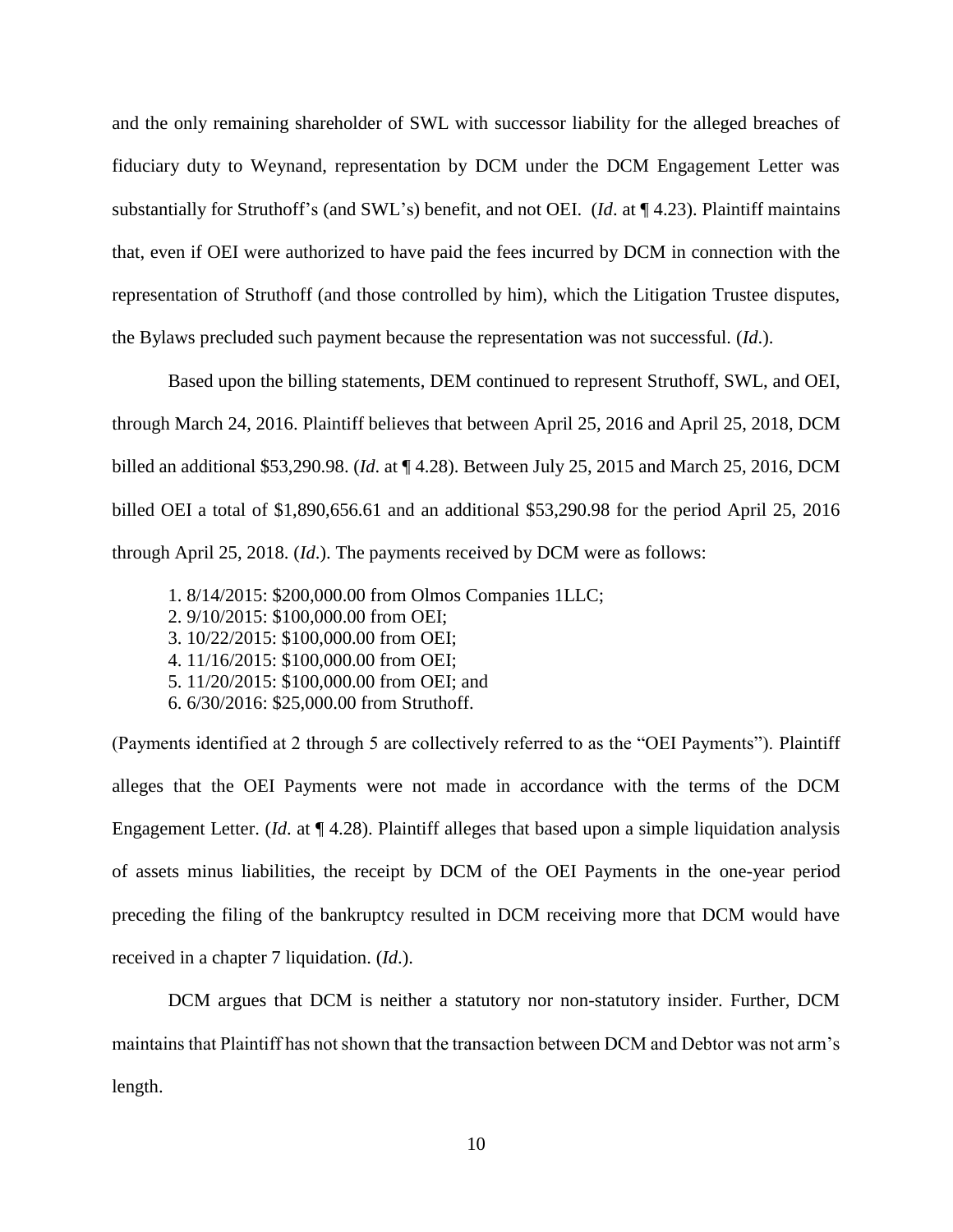and the only remaining shareholder of SWL with successor liability for the alleged breaches of fiduciary duty to Weynand, representation by DCM under the DCM Engagement Letter was substantially for Struthoff's (and SWL's) benefit, and not OEI. (*Id*. at ¶ 4.23). Plaintiff maintains that, even if OEI were authorized to have paid the fees incurred by DCM in connection with the representation of Struthoff (and those controlled by him), which the Litigation Trustee disputes, the Bylaws precluded such payment because the representation was not successful. (*Id*.).

Based upon the billing statements, DEM continued to represent Struthoff, SWL, and OEI, through March 24, 2016. Plaintiff believes that between April 25, 2016 and April 25, 2018, DCM billed an additional \$53,290.98. (*Id*. at ¶ 4.28). Between July 25, 2015 and March 25, 2016, DCM billed OEI a total of \$1,890,656.61 and an additional \$53,290.98 for the period April 25, 2016 through April 25, 2018. (*Id*.). The payments received by DCM were as follows:

- 1. 8/14/2015: \$200,000.00 from Olmos Companies 1LLC;
- 2. 9/10/2015: \$100,000.00 from OEI;
- 3. 10/22/2015: \$100,000.00 from OEI;
- 4. 11/16/2015: \$100,000.00 from OEI;
- 5. 11/20/2015: \$100,000.00 from OEI; and
- 6. 6/30/2016: \$25,000.00 from Struthoff.

(Payments identified at 2 through 5 are collectively referred to as the "OEI Payments"). Plaintiff alleges that the OEI Payments were not made in accordance with the terms of the DCM Engagement Letter. (*Id*. at ¶ 4.28). Plaintiff alleges that based upon a simple liquidation analysis of assets minus liabilities, the receipt by DCM of the OEI Payments in the one-year period preceding the filing of the bankruptcy resulted in DCM receiving more that DCM would have received in a chapter 7 liquidation. (*Id*.).

DCM argues that DCM is neither a statutory nor non-statutory insider. Further, DCM maintains that Plaintiff has not shown that the transaction between DCM and Debtor was not arm's length.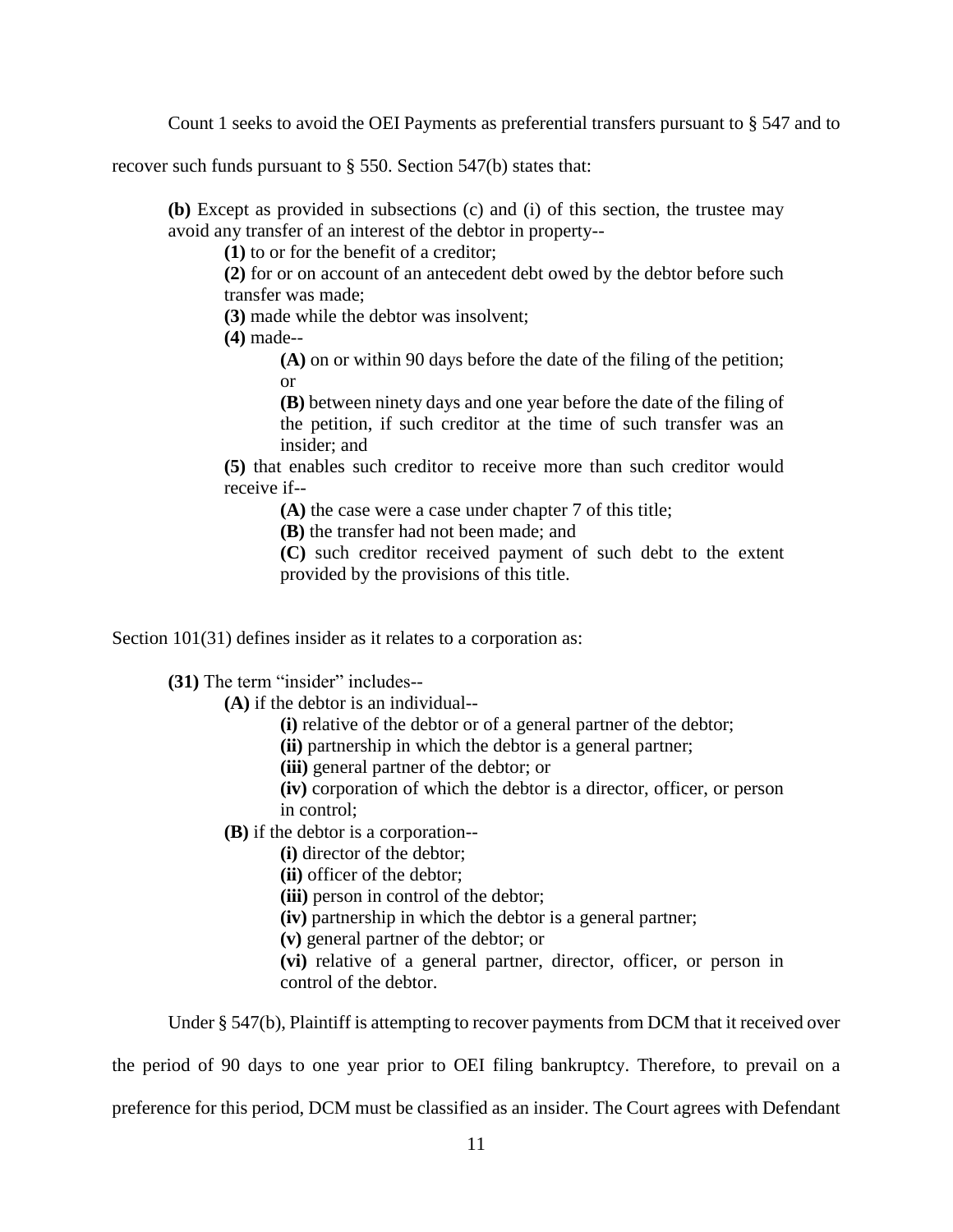Count 1 seeks to avoid the OEI Payments as preferential transfers pursuant to § 547 and to

recover such funds pursuant to § 550. Section 547(b) states that:

**(b)** Except as provided in subsections (c) and (i) of this section, the trustee may avoid any transfer of an interest of the debtor in property--

**(1)** to or for the benefit of a creditor;

**(2)** for or on account of an antecedent debt owed by the debtor before such transfer was made;

**(3)** made while the debtor was insolvent;

**(4)** made--

**(A)** on or within 90 days before the date of the filing of the petition; or

**(B)** between ninety days and one year before the date of the filing of the petition, if such creditor at the time of such transfer was an insider; and

**(5)** that enables such creditor to receive more than such creditor would receive if--

**(A)** the case were a case under chapter 7 of this title;

**(B)** the transfer had not been made; and

**(C)** such creditor received payment of such debt to the extent provided by the provisions of this title.

Section 101(31) defines insider as it relates to a corporation as:

**(31)** The term "insider" includes--

**(A)** if the debtor is an individual--

**(i)** relative of the debtor or of a general partner of the debtor;

**(ii)** partnership in which the debtor is a general partner;

**(iii)** general partner of the debtor; or

**(iv)** corporation of which the debtor is a director, officer, or person in control;

**(B)** if the debtor is a corporation--

**(i)** director of the debtor;

**(ii)** officer of the debtor;

**(iii)** person in control of the debtor;

**(iv)** partnership in which the debtor is a general partner;

**(v)** general partner of the debtor; or

**(vi)** relative of a general partner, director, officer, or person in control of the debtor.

Under § 547(b), Plaintiff is attempting to recover payments from DCM that it received over

the period of 90 days to one year prior to OEI filing bankruptcy. Therefore, to prevail on a

preference for this period, DCM must be classified as an insider. The Court agrees with Defendant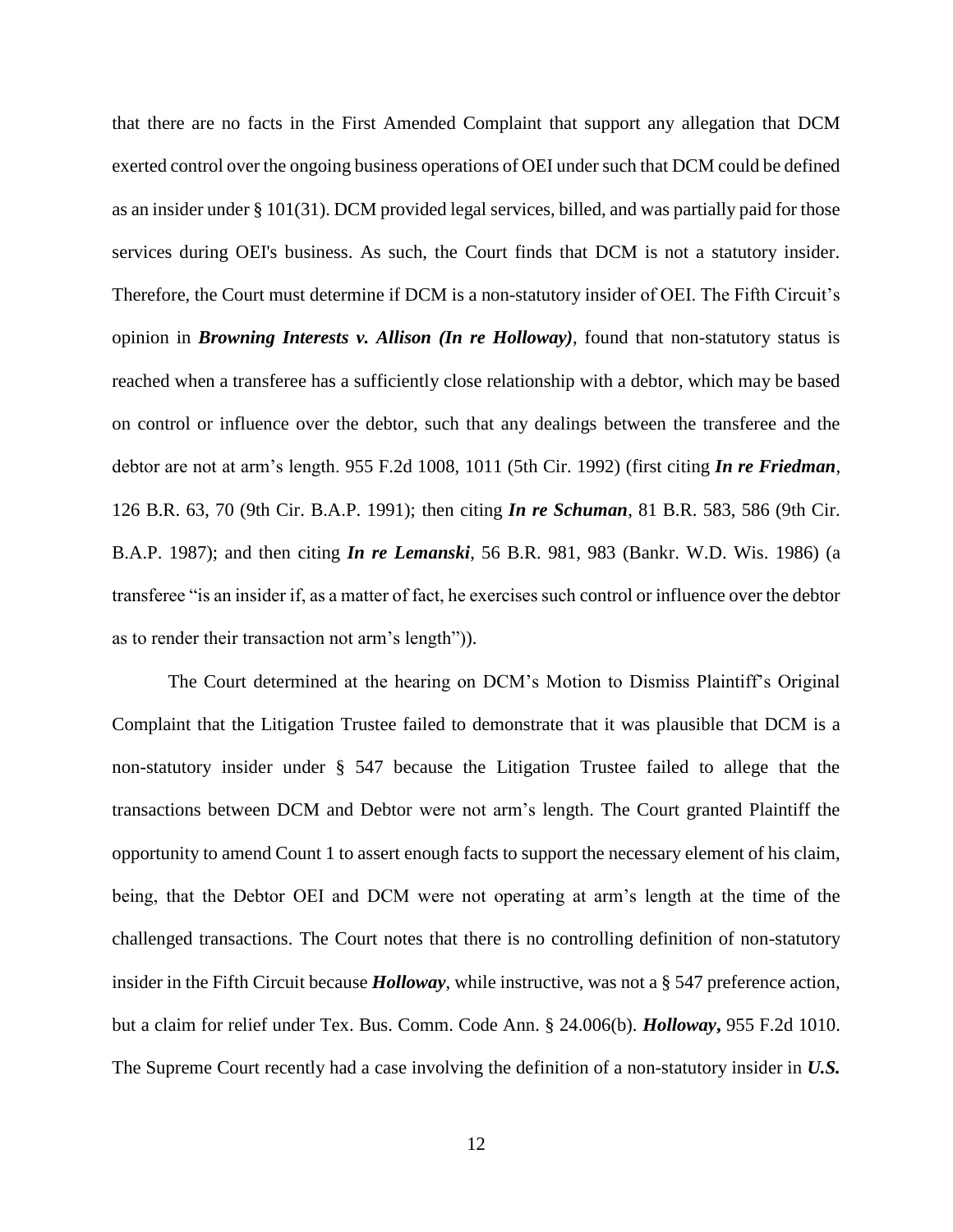that there are no facts in the First Amended Complaint that support any allegation that DCM exerted control over the ongoing business operations of OEI under such that DCM could be defined as an insider under § 101(31). DCM provided legal services, billed, and was partially paid for those services during OEI's business. As such, the Court finds that DCM is not a statutory insider. Therefore, the Court must determine if DCM is a non-statutory insider of OEI. The Fifth Circuit's opinion in *Browning Interests v. Allison (In re Holloway)*, found that non-statutory status is reached when a transferee has a sufficiently close relationship with a debtor, which may be based on control or influence over the debtor, such that any dealings between the transferee and the debtor are not at arm's length. 955 F.2d 1008, 1011 (5th Cir. 1992) (first citing *In re Friedman*, 126 B.R. 63, 70 (9th Cir. B.A.P. 1991); then citing *In re Schuman*, 81 B.R. 583, 586 (9th Cir. B.A.P. 1987); and then citing *In re Lemanski*, 56 B.R. 981, 983 (Bankr. W.D. Wis. 1986) (a transferee "is an insider if, as a matter of fact, he exercises such control or influence over the debtor as to render their transaction not arm's length")).

The Court determined at the hearing on DCM's Motion to Dismiss Plaintiff's Original Complaint that the Litigation Trustee failed to demonstrate that it was plausible that DCM is a non-statutory insider under § 547 because the Litigation Trustee failed to allege that the transactions between DCM and Debtor were not arm's length. The Court granted Plaintiff the opportunity to amend Count 1 to assert enough facts to support the necessary element of his claim, being, that the Debtor OEI and DCM were not operating at arm's length at the time of the challenged transactions. The Court notes that there is no controlling definition of non-statutory insider in the Fifth Circuit because *Holloway*, while instructive, was not a § 547 preference action, but a claim for relief under Tex. Bus. Comm. Code Ann. § 24.006(b). *Holloway***,** 955 F.2d 1010. The Supreme Court recently had a case involving the definition of a non-statutory insider in *U.S.*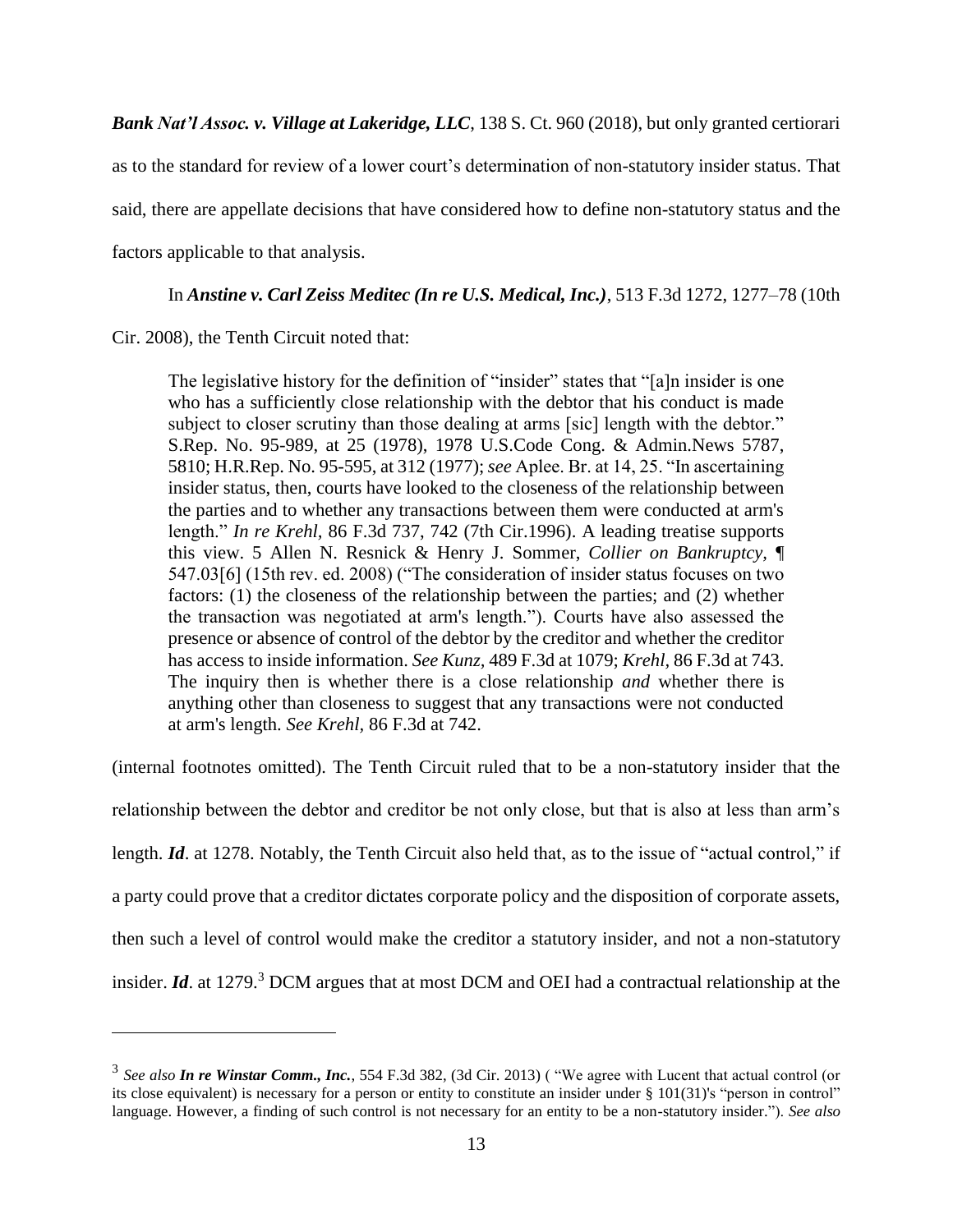*Bank Nat'l Assoc. v. Village at Lakeridge, LLC*, 138 S. Ct. 960 (2018), but only granted certiorari as to the standard for review of a lower court's determination of non-statutory insider status. That said, there are appellate decisions that have considered how to define non-statutory status and the factors applicable to that analysis.

In *Anstine v. Carl Zeiss Meditec (In re U.S. Medical, Inc.)*, 513 F.3d 1272, 1277–78 (10th

Cir. 2008), the Tenth Circuit noted that:

 $\overline{a}$ 

The legislative history for the definition of "insider" states that "[a]n insider is one who has a sufficiently close relationship with the debtor that his conduct is made subject to closer scrutiny than those dealing at arms [sic] length with the debtor." [S.Rep. No. 95-989, at 25 \(1978\),](https://1.next.westlaw.com/Link/Document/FullText?findType=Y&serNum=0100368789&pubNum=0001503&originatingDoc=Ia5b08ef1529111ddb6a3a099756c05b7&refType=TV&originationContext=document&transitionType=DocumentItem&contextData=(sc.UserEnteredCitation)) 1978 U.S.Code Cong. & Admin.News 5787, 5810[; H.R.Rep. No. 95-595, at 312 \(1977\);](https://1.next.westlaw.com/Link/Document/FullText?findType=Y&serNum=0100368790&pubNum=0100014&originatingDoc=Ia5b08ef1529111ddb6a3a099756c05b7&refType=TV&originationContext=document&transitionType=DocumentItem&contextData=(sc.UserEnteredCitation)) *see* Aplee. Br. at 14, 25. "In ascertaining insider status, then, courts have looked to the closeness of the relationship between the parties and to whether any transactions between them were conducted at arm's length." *In re Krehl,* [86 F.3d 737, 742 \(7th Cir.1996\).](https://1.next.westlaw.com/Link/Document/FullText?findType=Y&serNum=1996140580&pubNum=506&originatingDoc=Ia5b08ef1529111ddb6a3a099756c05b7&refType=RP&fi=co_pp_sp_506_742&originationContext=document&transitionType=DocumentItem&contextData=(sc.UserEnteredCitation)#co_pp_sp_506_742) A leading treatise supports this view. 5 Allen N. Resnick & Henry J. Sommer, *Collier on Bankruptcy,* ¶ 547.03[6] (15th rev. ed. 2008) ("The consideration of insider status focuses on two factors: (1) the closeness of the relationship between the parties; and (2) whether the transaction was negotiated at arm's length."). Courts have also assessed the presence or absence of control of the debtor by the creditor and whether the creditor has access to inside information. *See Kunz,* [489 F.3d at 1079;](https://1.next.westlaw.com/Link/Document/FullText?findType=Y&serNum=2012403286&pubNum=506&originatingDoc=Ia5b08ef1529111ddb6a3a099756c05b7&refType=RP&fi=co_pp_sp_506_1079&originationContext=document&transitionType=DocumentItem&contextData=(sc.UserEnteredCitation)#co_pp_sp_506_1079) *Krehl,* [86 F.3d at 743.](https://1.next.westlaw.com/Link/Document/FullText?findType=Y&serNum=1996140580&pubNum=506&originatingDoc=Ia5b08ef1529111ddb6a3a099756c05b7&refType=RP&fi=co_pp_sp_506_743&originationContext=document&transitionType=DocumentItem&contextData=(sc.UserEnteredCitation)#co_pp_sp_506_743) The inquiry then is whether there is a close relationship *and* whether there is anything other than closeness to suggest that any transactions were not conducted at arm's length. *See Krehl,* [86 F.3d at 742.](https://1.next.westlaw.com/Link/Document/FullText?findType=Y&serNum=1996140580&pubNum=506&originatingDoc=Ia5b08ef1529111ddb6a3a099756c05b7&refType=RP&fi=co_pp_sp_506_742&originationContext=document&transitionType=DocumentItem&contextData=(sc.UserEnteredCitation)#co_pp_sp_506_742)

(internal footnotes omitted). The Tenth Circuit ruled that to be a non-statutory insider that the

relationship between the debtor and creditor be not only close, but that is also at less than arm's length. *Id*. at 1278. Notably, the Tenth Circuit also held that, as to the issue of "actual control," if a party could prove that a creditor dictates corporate policy and the disposition of corporate assets, then such a level of control would make the creditor a statutory insider, and not a non-statutory insider. *Id*. at 1279.<sup>3</sup> DCM argues that at most DCM and OEI had a contractual relationship at the

<sup>3</sup> *See also In re Winstar Comm., Inc.*, 554 F.3d 382, (3d Cir. 2013) ( "We agree with Lucent that actual control (or its close equivalent) is necessary for a person or entity to constitute an insider under [§ 101\(31\)'](https://1.next.westlaw.com/Link/Document/FullText?findType=L&pubNum=1000546&cite=11USCAS101&originatingDoc=Ia299ed23f21311ddb5cbad29a280d47c&refType=RB&originationContext=document&transitionType=DocumentItem&contextData=(sc.DocLink)#co_pp_e55f000000452)s "person in control" language. However, a finding of such control is not necessary for an entity to be a non-statutory insider."). *See also*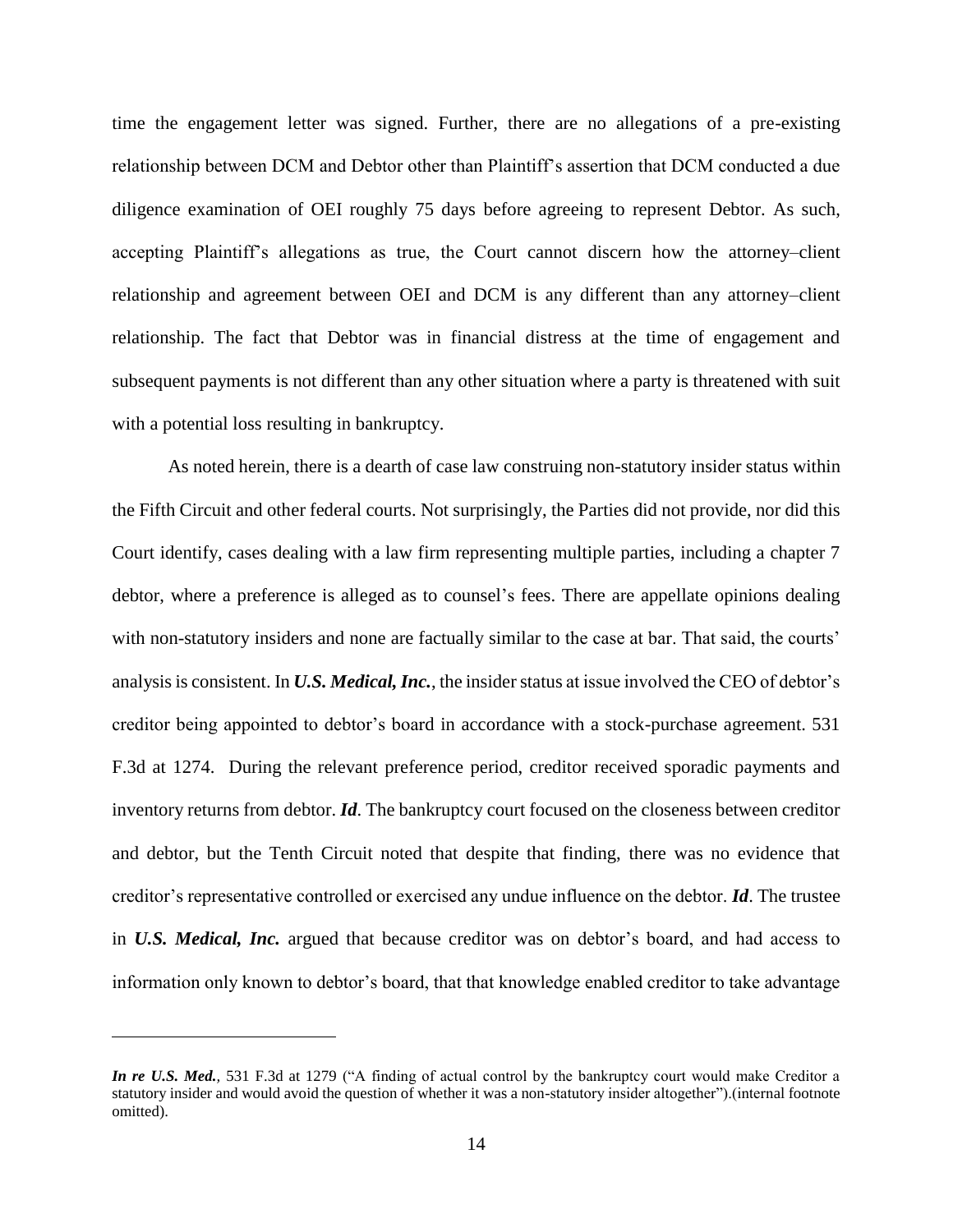time the engagement letter was signed. Further, there are no allegations of a pre-existing relationship between DCM and Debtor other than Plaintiff's assertion that DCM conducted a due diligence examination of OEI roughly 75 days before agreeing to represent Debtor. As such, accepting Plaintiff's allegations as true, the Court cannot discern how the attorney–client relationship and agreement between OEI and DCM is any different than any attorney–client relationship. The fact that Debtor was in financial distress at the time of engagement and subsequent payments is not different than any other situation where a party is threatened with suit with a potential loss resulting in bankruptcy.

As noted herein, there is a dearth of case law construing non-statutory insider status within the Fifth Circuit and other federal courts. Not surprisingly, the Parties did not provide, nor did this Court identify, cases dealing with a law firm representing multiple parties, including a chapter 7 debtor, where a preference is alleged as to counsel's fees. There are appellate opinions dealing with non-statutory insiders and none are factually similar to the case at bar. That said, the courts' analysis is consistent. In *U.S. Medical, Inc.*, the insider status at issue involved the CEO of debtor's creditor being appointed to debtor's board in accordance with a stock-purchase agreement. 531 F.3d at 1274. During the relevant preference period, creditor received sporadic payments and inventory returns from debtor. *Id*. The bankruptcy court focused on the closeness between creditor and debtor, but the Tenth Circuit noted that despite that finding, there was no evidence that creditor's representative controlled or exercised any undue influence on the debtor. *Id*. The trustee in *U.S. Medical, Inc.* argued that because creditor was on debtor's board, and had access to information only known to debtor's board, that that knowledge enabled creditor to take advantage

*In re U.S. Med.,* [531 F.3d at 1279](https://1.next.westlaw.com/Link/Document/FullText?findType=Y&serNum=2016528028&pubNum=0000506&originatingDoc=Ia299ed23f21311ddb5cbad29a280d47c&refType=RP&fi=co_pp_sp_506_1279&originationContext=document&transitionType=DocumentItem&contextData=(sc.DocLink)#co_pp_sp_506_1279) ("A finding of actual control by the bankruptcy court would make Creditor a statutory insider and would avoid the question of whether it was a non-statutory insider altogether").(internal footnote omitted).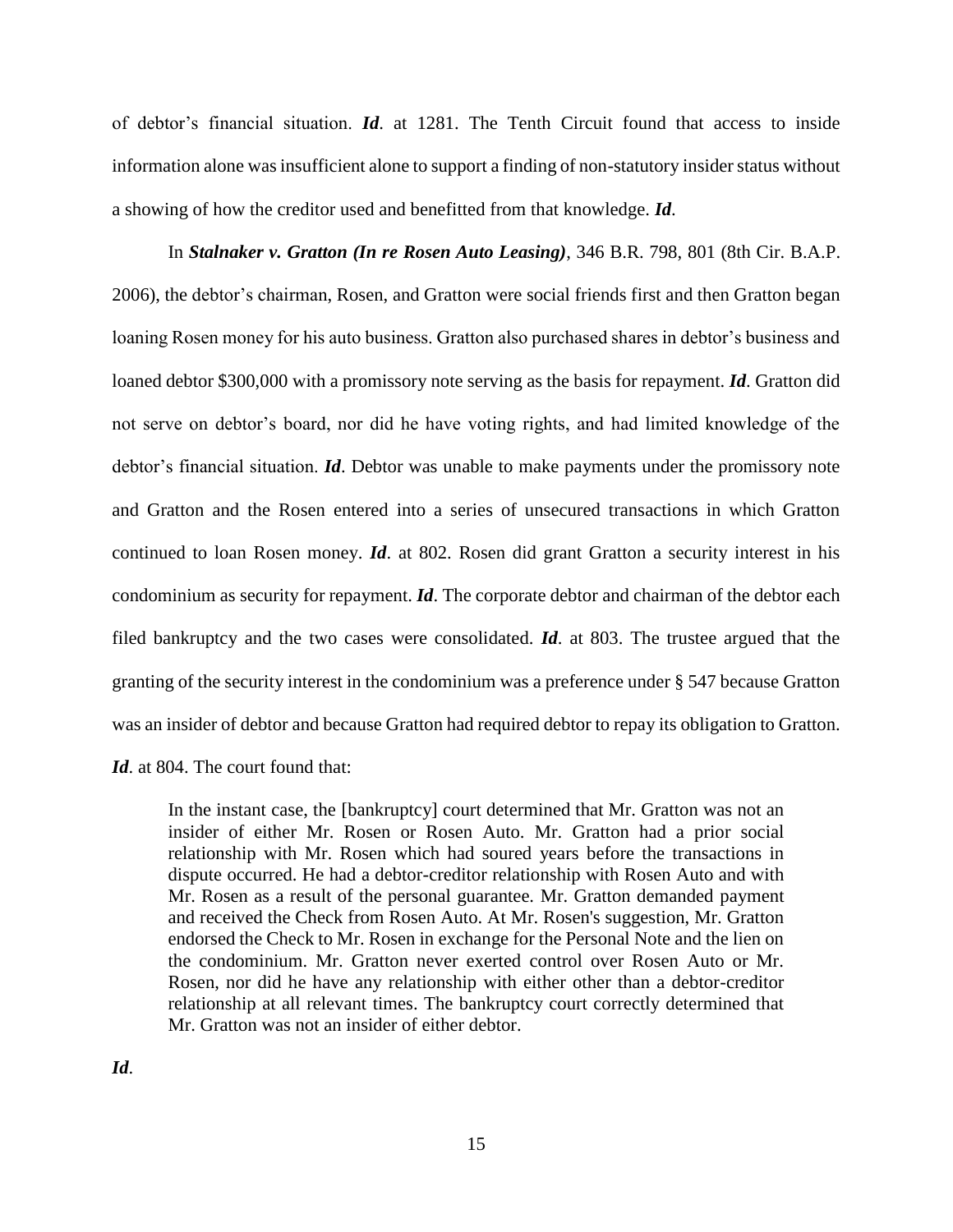of debtor's financial situation. *Id*. at 1281. The Tenth Circuit found that access to inside information alone was insufficient alone to support a finding of non-statutory insider status without a showing of how the creditor used and benefitted from that knowledge. *Id*.

In *Stalnaker v. Gratton (In re Rosen Auto Leasing)*, 346 B.R. 798, 801 (8th Cir. B.A.P. 2006), the debtor's chairman, Rosen, and Gratton were social friends first and then Gratton began loaning Rosen money for his auto business. Gratton also purchased shares in debtor's business and loaned debtor \$300,000 with a promissory note serving as the basis for repayment. *Id*. Gratton did not serve on debtor's board, nor did he have voting rights, and had limited knowledge of the debtor's financial situation. *Id*. Debtor was unable to make payments under the promissory note and Gratton and the Rosen entered into a series of unsecured transactions in which Gratton continued to loan Rosen money. *Id*. at 802. Rosen did grant Gratton a security interest in his condominium as security for repayment. *Id*. The corporate debtor and chairman of the debtor each filed bankruptcy and the two cases were consolidated. *Id*. at 803. The trustee argued that the granting of the security interest in the condominium was a preference under § 547 because Gratton was an insider of debtor and because Gratton had required debtor to repay its obligation to Gratton.

*Id*. at 804. The court found that:

In the instant case, the [bankruptcy] court determined that Mr. Gratton was not an insider of either Mr. Rosen or Rosen Auto. Mr. Gratton had a prior social relationship with Mr. Rosen which had soured years before the transactions in dispute occurred. He had a debtor-creditor relationship with Rosen Auto and with Mr. Rosen as a result of the personal guarantee. Mr. Gratton demanded payment and received the Check from Rosen Auto. At Mr. Rosen's suggestion, Mr. Gratton endorsed the Check to Mr. Rosen in exchange for the Personal Note and the lien on the condominium. Mr. Gratton never exerted control over Rosen Auto or Mr. Rosen, nor did he have any relationship with either other than a debtor-creditor relationship at all relevant times. The bankruptcy court correctly determined that Mr. Gratton was not an insider of either debtor.

*Id*.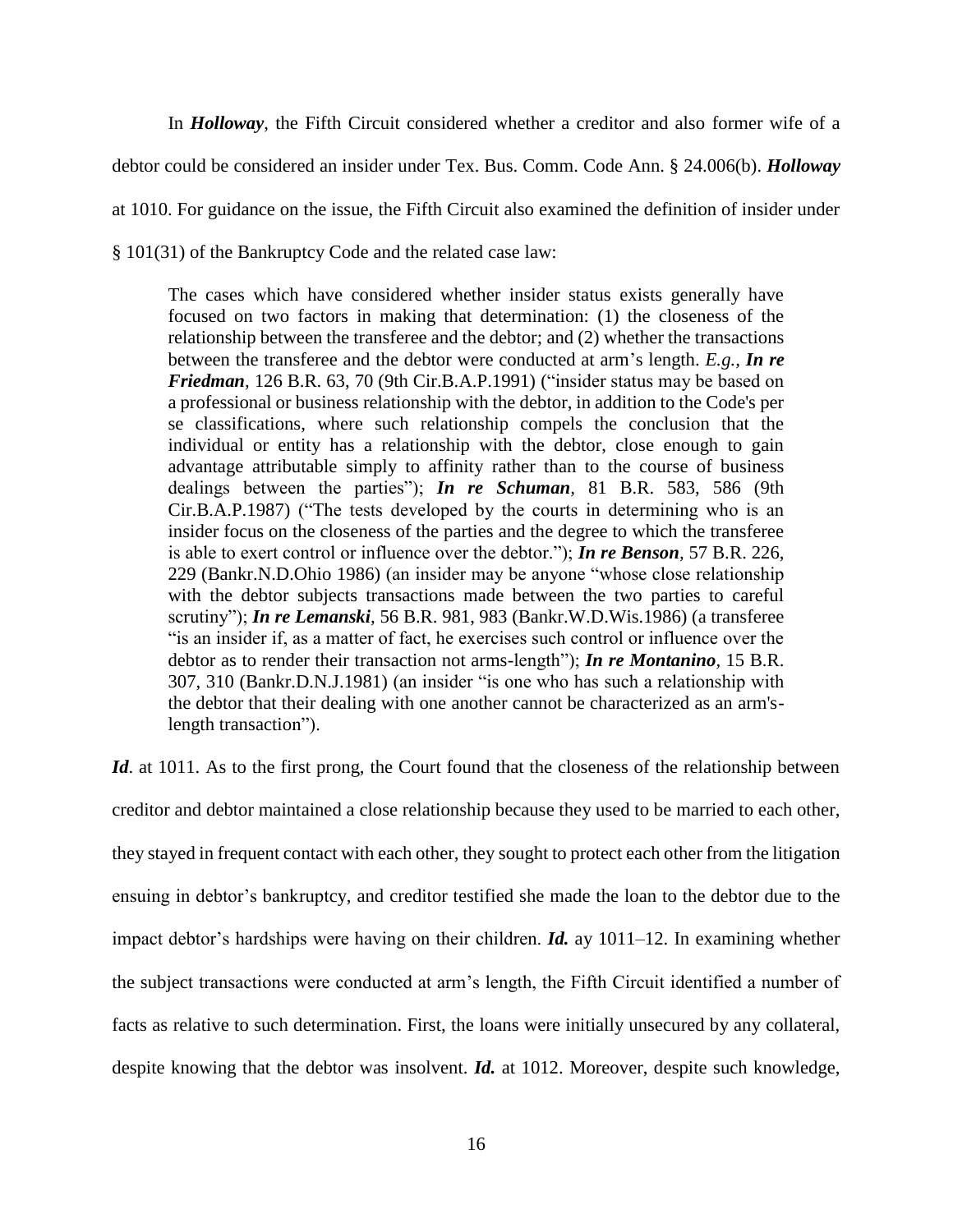In *Holloway*, the Fifth Circuit considered whether a creditor and also former wife of a debtor could be considered an insider under Tex. Bus. Comm. Code Ann. § 24.006(b). *Holloway* at 1010. For guidance on the issue, the Fifth Circuit also examined the definition of insider under § 101(31) of the Bankruptcy Code and the related case law:

The cases which have considered whether insider status exists generally have focused on two factors in making that determination: (1) the closeness of the relationship between the transferee and the debtor; and (2) whether the transactions between the transferee and the debtor were conducted at arm's length. *E.g., [In re](https://1.next.westlaw.com/Link/Document/FullText?findType=Y&serNum=1991082736&pubNum=164&originatingDoc=Ie3a92c8981e111d98c82a53fc8ac8757&refType=RP&fi=co_pp_sp_164_70&originationContext=document&transitionType=DocumentItem&contextData=(sc.UserEnteredCitation)#co_pp_sp_164_70)  Friedman,* [126 B.R. 63, 70 \(9th Cir.B.A.P.1991\)](https://1.next.westlaw.com/Link/Document/FullText?findType=Y&serNum=1991082736&pubNum=164&originatingDoc=Ie3a92c8981e111d98c82a53fc8ac8757&refType=RP&fi=co_pp_sp_164_70&originationContext=document&transitionType=DocumentItem&contextData=(sc.UserEnteredCitation)#co_pp_sp_164_70) ("insider status may be based on a professional or business relationship with the debtor, in addition to the Code's per se classifications, where such relationship compels the conclusion that the individual or entity has a relationship with the debtor, close enough to gain advantage attributable simply to affinity rather than to the course of business dealings between the parties"); *In re Schuman,* [81 B.R. 583, 586 \(9th](https://1.next.westlaw.com/Link/Document/FullText?findType=Y&serNum=1988015892&pubNum=164&originatingDoc=Ie3a92c8981e111d98c82a53fc8ac8757&refType=RP&fi=co_pp_sp_164_586&originationContext=document&transitionType=DocumentItem&contextData=(sc.UserEnteredCitation)#co_pp_sp_164_586)  [Cir.B.A.P.1987\)](https://1.next.westlaw.com/Link/Document/FullText?findType=Y&serNum=1988015892&pubNum=164&originatingDoc=Ie3a92c8981e111d98c82a53fc8ac8757&refType=RP&fi=co_pp_sp_164_586&originationContext=document&transitionType=DocumentItem&contextData=(sc.UserEnteredCitation)#co_pp_sp_164_586) ("The tests developed by the courts in determining who is an insider focus on the closeness of the parties and the degree to which the transferee is able to exert control or influence over the debtor."); *[In re Benson](https://1.next.westlaw.com/Link/Document/FullText?findType=Y&serNum=1986107566&pubNum=164&originatingDoc=Ie3a92c8981e111d98c82a53fc8ac8757&refType=RP&fi=co_pp_sp_164_229&originationContext=document&transitionType=DocumentItem&contextData=(sc.UserEnteredCitation)#co_pp_sp_164_229),* 57 B.R. 226, [229 \(Bankr.N.D.Ohio 1986\)](https://1.next.westlaw.com/Link/Document/FullText?findType=Y&serNum=1986107566&pubNum=164&originatingDoc=Ie3a92c8981e111d98c82a53fc8ac8757&refType=RP&fi=co_pp_sp_164_229&originationContext=document&transitionType=DocumentItem&contextData=(sc.UserEnteredCitation)#co_pp_sp_164_229) (an insider may be anyone "whose close relationship with the debtor subjects transactions made between the two parties to careful scrutiny"); *In re Lemanski,* [56 B.R. 981, 983 \(Bankr.W.D.Wis.1986\)](https://1.next.westlaw.com/Link/Document/FullText?findType=Y&serNum=1986107369&pubNum=164&originatingDoc=Ie3a92c8981e111d98c82a53fc8ac8757&refType=RP&fi=co_pp_sp_164_983&originationContext=document&transitionType=DocumentItem&contextData=(sc.UserEnteredCitation)#co_pp_sp_164_983) (a transferee "is an insider if, as a matter of fact, he exercises such control or influence over the debtor as to render their transaction not arms-length"); *[In re Montanino](https://1.next.westlaw.com/Link/Document/FullText?findType=Y&serNum=1981150794&pubNum=164&originatingDoc=Ie3a92c8981e111d98c82a53fc8ac8757&refType=RP&fi=co_pp_sp_164_310&originationContext=document&transitionType=DocumentItem&contextData=(sc.UserEnteredCitation)#co_pp_sp_164_310),* 15 B.R. [307, 310 \(Bankr.D.N.J.1981\)](https://1.next.westlaw.com/Link/Document/FullText?findType=Y&serNum=1981150794&pubNum=164&originatingDoc=Ie3a92c8981e111d98c82a53fc8ac8757&refType=RP&fi=co_pp_sp_164_310&originationContext=document&transitionType=DocumentItem&contextData=(sc.UserEnteredCitation)#co_pp_sp_164_310) (an insider "is one who has such a relationship with the debtor that their dealing with one another cannot be characterized as an arm'slength transaction").

*Id*. at 1011. As to the first prong, the Court found that the closeness of the relationship between creditor and debtor maintained a close relationship because they used to be married to each other, they stayed in frequent contact with each other, they sought to protect each other from the litigation ensuing in debtor's bankruptcy, and creditor testified she made the loan to the debtor due to the impact debtor's hardships were having on their children. *Id.* ay 1011–12. In examining whether the subject transactions were conducted at arm's length, the Fifth Circuit identified a number of facts as relative to such determination. First, the loans were initially unsecured by any collateral, despite knowing that the debtor was insolvent. *Id.* at 1012. Moreover, despite such knowledge,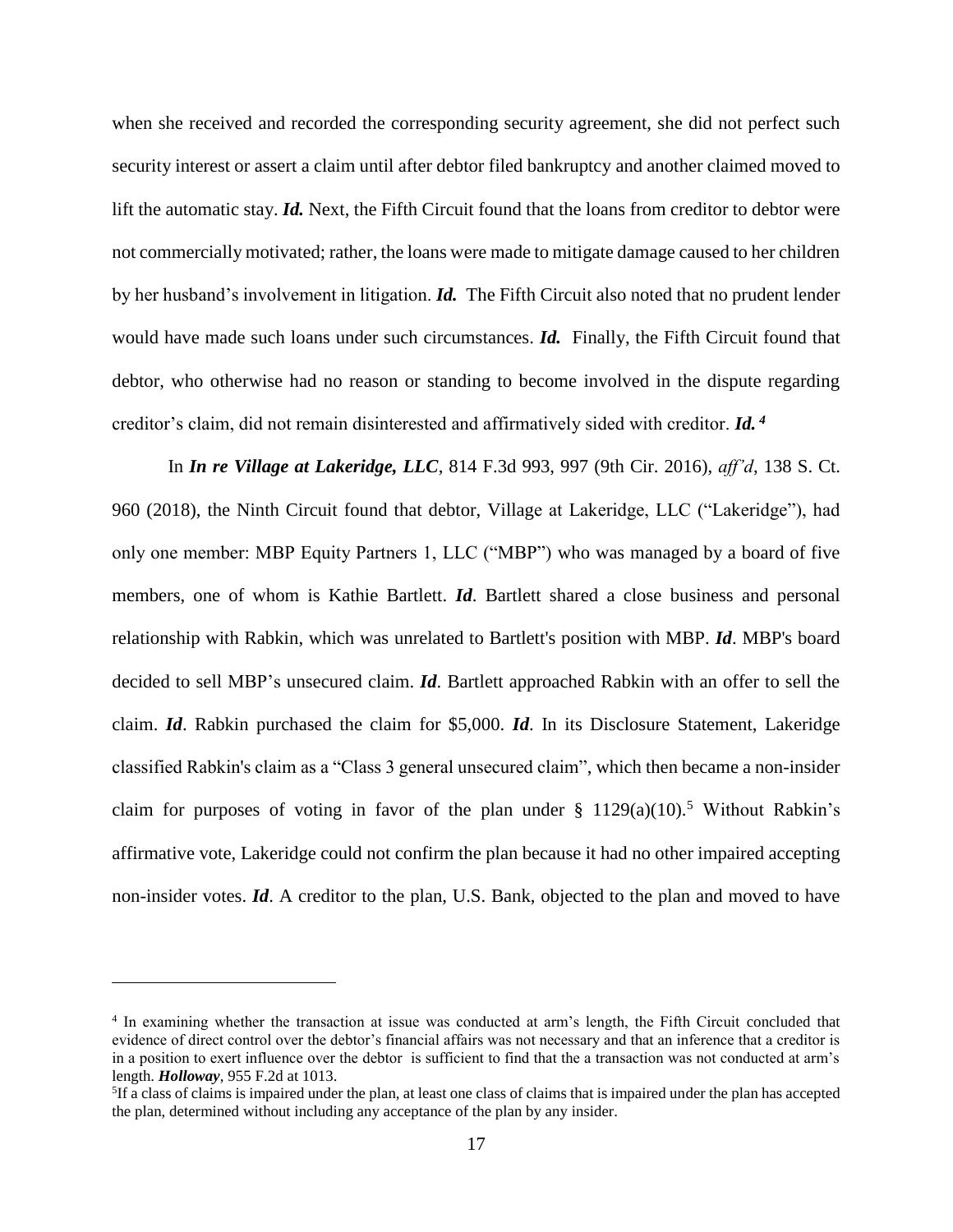when she received and recorded the corresponding security agreement, she did not perfect such security interest or assert a claim until after debtor filed bankruptcy and another claimed moved to lift the automatic stay. *Id.* Next, the Fifth Circuit found that the loans from creditor to debtor were not commercially motivated; rather, the loans were made to mitigate damage caused to her children by her husband's involvement in litigation. *Id.* The Fifth Circuit also noted that no prudent lender would have made such loans under such circumstances. *Id.* Finally, the Fifth Circuit found that debtor, who otherwise had no reason or standing to become involved in the dispute regarding creditor's claim, did not remain disinterested and affirmatively sided with creditor. *Id. 4*

In *In re Village at Lakeridge, LLC*, 814 F.3d 993, 997 (9th Cir. 2016), *aff'd*, 138 S. Ct. 960 (2018), the Ninth Circuit found that debtor, Village at Lakeridge, LLC ("Lakeridge"), had only one member: MBP Equity Partners 1, LLC ("MBP") who was managed by a board of five members, one of whom is Kathie Bartlett. *Id*. Bartlett shared a close business and personal relationship with Rabkin, which was unrelated to Bartlett's position with MBP. *Id*. MBP's board decided to sell MBP's unsecured claim. *Id*. Bartlett approached Rabkin with an offer to sell the claim. *Id*. Rabkin purchased the claim for \$5,000. *Id*. In its Disclosure Statement, Lakeridge classified Rabkin's claim as a "Class 3 general unsecured claim", which then became a non-insider claim for purposes of voting in favor of the plan under  $\S 1129(a)(10)$ .<sup>5</sup> Without Rabkin's affirmative vote, Lakeridge could not confirm the plan because it had no other impaired accepting non-insider votes. *Id*. A creditor to the plan, U.S. Bank, objected to the plan and moved to have

<sup>4</sup> In examining whether the transaction at issue was conducted at arm's length, the Fifth Circuit concluded that evidence of direct control over the debtor's financial affairs was not necessary and that an inference that a creditor is in a position to exert influence over the debtor is sufficient to find that the a transaction was not conducted at arm's length. *Holloway*, 955 F.2d at 1013.

<sup>&</sup>lt;sup>5</sup>If a class of claims is impaired under the plan, at least one class of claims that is impaired under the plan has accepted the plan, determined without including any acceptance of the plan by any insider.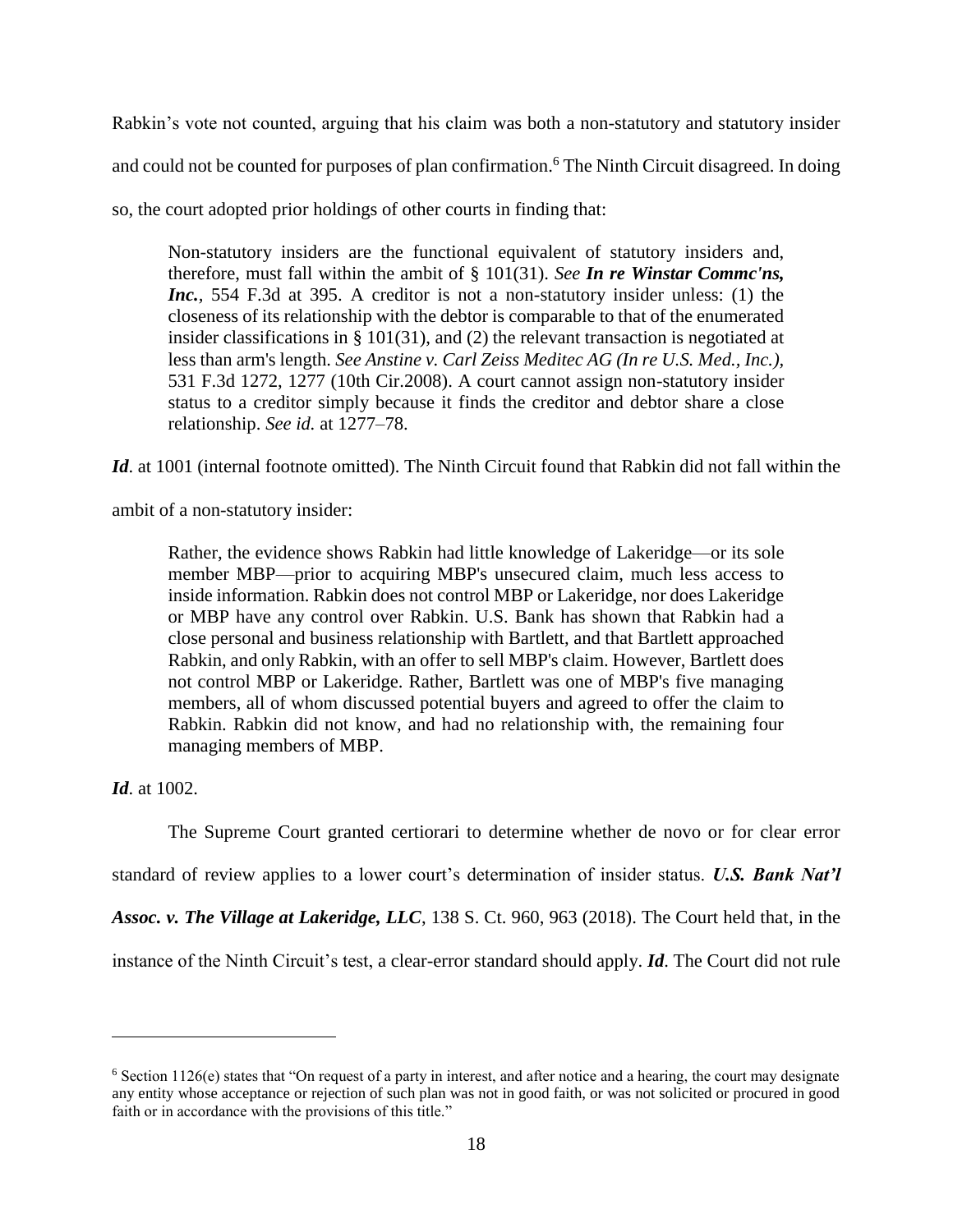Rabkin's vote not counted, arguing that his claim was both a non-statutory and statutory insider

and could not be counted for purposes of plan confirmation. <sup>6</sup> The Ninth Circuit disagreed. In doing

so, the court adopted prior holdings of other courts in finding that:

Non-statutory insiders are the functional equivalent of statutory insiders and, therefore, must fall within the ambit of [§ 101\(31\).](https://1.next.westlaw.com/Link/Document/FullText?findType=L&pubNum=1000546&cite=11USCAS101&originatingDoc=I694683c3cf9a11e5a807ad48145ed9f1&refType=RB&originationContext=document&transitionType=DocumentItem&contextData=(sc.UserEnteredCitation)#co_pp_e55f000000452) *See [In re Winstar Commc'ns,](https://1.next.westlaw.com/Link/Document/FullText?findType=Y&serNum=2017990374&pubNum=0000506&originatingDoc=I694683c3cf9a11e5a807ad48145ed9f1&refType=RP&fi=co_pp_sp_506_395&originationContext=document&transitionType=DocumentItem&contextData=(sc.UserEnteredCitation)#co_pp_sp_506_395)  Inc.,* [554 F.3d at 395.](https://1.next.westlaw.com/Link/Document/FullText?findType=Y&serNum=2017990374&pubNum=0000506&originatingDoc=I694683c3cf9a11e5a807ad48145ed9f1&refType=RP&fi=co_pp_sp_506_395&originationContext=document&transitionType=DocumentItem&contextData=(sc.UserEnteredCitation)#co_pp_sp_506_395) A creditor is not a non-statutory insider unless: (1) the closeness of its relationship with the debtor is comparable to that of the enumerated insider classifications in [§ 101\(31\),](https://1.next.westlaw.com/Link/Document/FullText?findType=L&pubNum=1000546&cite=11USCAS101&originatingDoc=I694683c3cf9a11e5a807ad48145ed9f1&refType=RB&originationContext=document&transitionType=DocumentItem&contextData=(sc.UserEnteredCitation)#co_pp_e55f000000452) and [\(2\)](https://1.next.westlaw.com/Link/Document/FullText?findType=L&pubNum=1000546&cite=11USCAS101&originatingDoc=I694683c3cf9a11e5a807ad48145ed9f1&refType=RB&originationContext=document&transitionType=DocumentItem&contextData=(sc.UserEnteredCitation)#co_pp_58730000872b1) the relevant transaction is negotiated at less than arm's length. *[See Anstine v. Carl Zeiss Meditec AG \(In re U.S. Med., Inc.\),](https://1.next.westlaw.com/Link/Document/FullText?findType=Y&serNum=2016528028&pubNum=0000506&originatingDoc=I694683c3cf9a11e5a807ad48145ed9f1&refType=RP&fi=co_pp_sp_506_1277&originationContext=document&transitionType=DocumentItem&contextData=(sc.UserEnteredCitation)#co_pp_sp_506_1277)* [531 F.3d 1272, 1277 \(10th Cir.2008\).](https://1.next.westlaw.com/Link/Document/FullText?findType=Y&serNum=2016528028&pubNum=0000506&originatingDoc=I694683c3cf9a11e5a807ad48145ed9f1&refType=RP&fi=co_pp_sp_506_1277&originationContext=document&transitionType=DocumentItem&contextData=(sc.UserEnteredCitation)#co_pp_sp_506_1277) A court cannot assign non-statutory insider status to a creditor simply because it finds the creditor and debtor share a close relationship. *See id.* [at 1277–78.](https://1.next.westlaw.com/Link/Document/FullText?findType=Y&serNum=2016528028&pubNum=0000506&originatingDoc=I694683c3cf9a11e5a807ad48145ed9f1&refType=RP&fi=co_pp_sp_506_1277&originationContext=document&transitionType=DocumentItem&contextData=(sc.UserEnteredCitation)#co_pp_sp_506_1277)

*Id*. at 1001 (internal footnote omitted). The Ninth Circuit found that Rabkin did not fall within the

ambit of a non-statutory insider:

Rather, the evidence shows Rabkin had little knowledge of Lakeridge—or its sole member MBP—prior to acquiring MBP's unsecured claim, much less access to inside information. Rabkin does not control MBP or Lakeridge, nor does Lakeridge or MBP have any control over Rabkin. U.S. Bank has shown that Rabkin had a close personal and business relationship with Bartlett, and that Bartlett approached Rabkin, and only Rabkin, with an offer to sell MBP's claim. However, Bartlett does not control MBP or Lakeridge. Rather, Bartlett was one of MBP's five managing members, all of whom discussed potential buyers and agreed to offer the claim to Rabkin. Rabkin did not know, and had no relationship with, the remaining four managing members of MBP.

*Id*. at 1002.

 $\overline{a}$ 

The Supreme Court granted certiorari to determine whether de novo or for clear error

standard of review applies to a lower court's determination of insider status. *U.S. Bank Nat'l* 

*Assoc. v. The Village at Lakeridge, LLC*, 138 S. Ct. 960, 963 (2018). The Court held that, in the

instance of the Ninth Circuit's test, a clear-error standard should apply. *Id*. The Court did not rule

 $6$  Section 1126(e) states that "On request of a party in interest, and after notice and a hearing, the court may designate any entity whose acceptance or rejection of such plan was not in good faith, or was not solicited or procured in good faith or in accordance with the provisions of this title."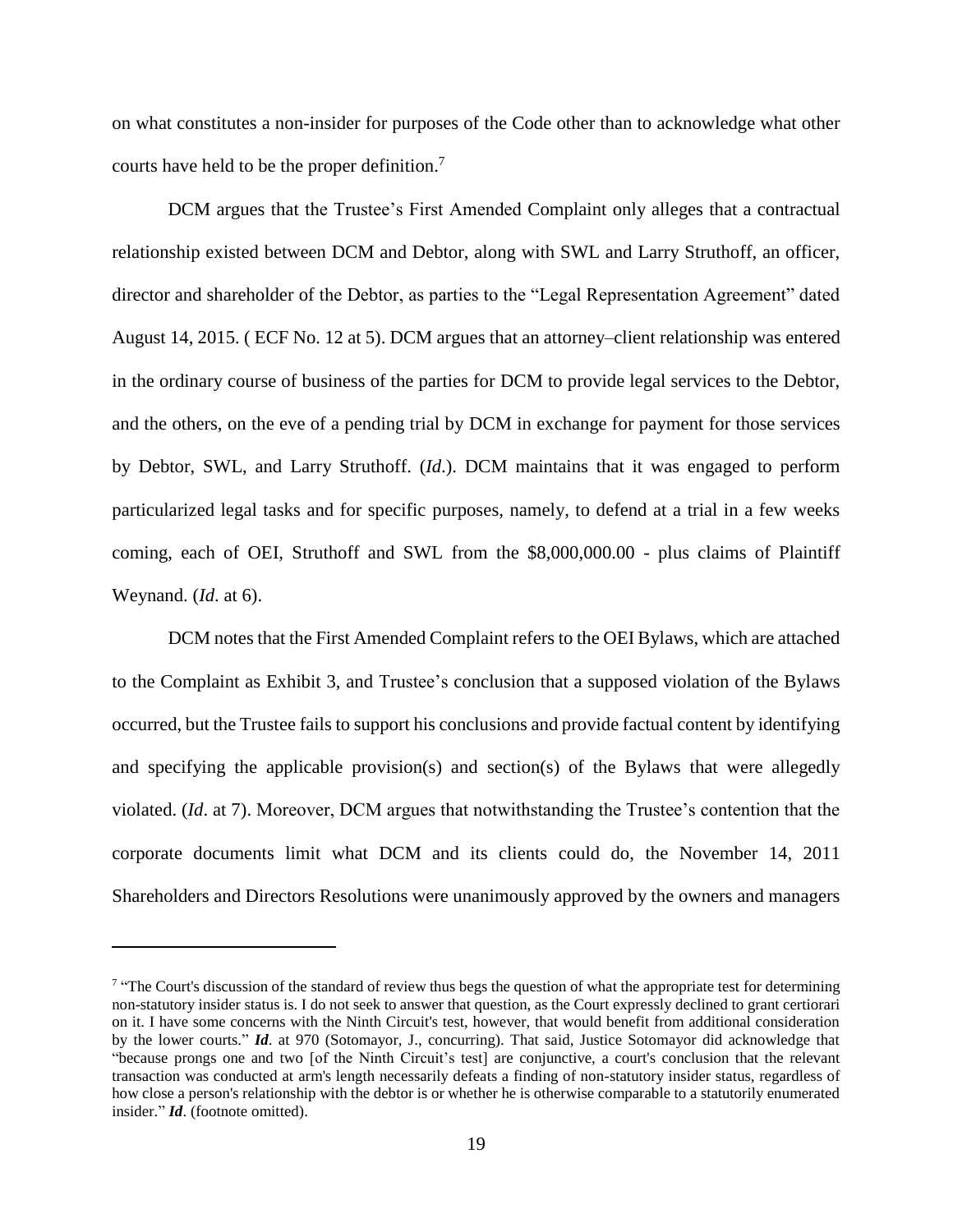on what constitutes a non-insider for purposes of the Code other than to acknowledge what other courts have held to be the proper definition. 7

DCM argues that the Trustee's First Amended Complaint only alleges that a contractual relationship existed between DCM and Debtor, along with SWL and Larry Struthoff, an officer, director and shareholder of the Debtor, as parties to the "Legal Representation Agreement" dated August 14, 2015. ( ECF No. 12 at 5). DCM argues that an attorney–client relationship was entered in the ordinary course of business of the parties for DCM to provide legal services to the Debtor, and the others, on the eve of a pending trial by DCM in exchange for payment for those services by Debtor, SWL, and Larry Struthoff. (*Id*.). DCM maintains that it was engaged to perform particularized legal tasks and for specific purposes, namely, to defend at a trial in a few weeks coming, each of OEI, Struthoff and SWL from the \$8,000,000.00 - plus claims of Plaintiff Weynand. (*Id*. at 6).

DCM notes that the First Amended Complaint refers to the OEI Bylaws, which are attached to the Complaint as Exhibit 3, and Trustee's conclusion that a supposed violation of the Bylaws occurred, but the Trustee fails to support his conclusions and provide factual content by identifying and specifying the applicable provision(s) and section(s) of the Bylaws that were allegedly violated. (*Id*. at 7). Moreover, DCM argues that notwithstanding the Trustee's contention that the corporate documents limit what DCM and its clients could do, the November 14, 2011 Shareholders and Directors Resolutions were unanimously approved by the owners and managers

 $\sigma$  "The Court's discussion of the standard of review thus begs the question of what the appropriate test for determining non-statutory insider status is. I do not seek to answer that question, as the Court expressly declined to grant certiorari on it. I have some concerns with the Ninth Circuit's test, however, that would benefit from additional consideration by the lower courts." *Id*. at 970 (Sotomayor, J., concurring). That said, Justice Sotomayor did acknowledge that "because prongs one and two [of the Ninth Circuit's test] are conjunctive, a court's conclusion that the relevant transaction was conducted at arm's length necessarily defeats a finding of non-statutory insider status, regardless of how close a person's relationship with the debtor is or whether he is otherwise comparable to a statutorily enumerated insider." *Id*. (footnote omitted).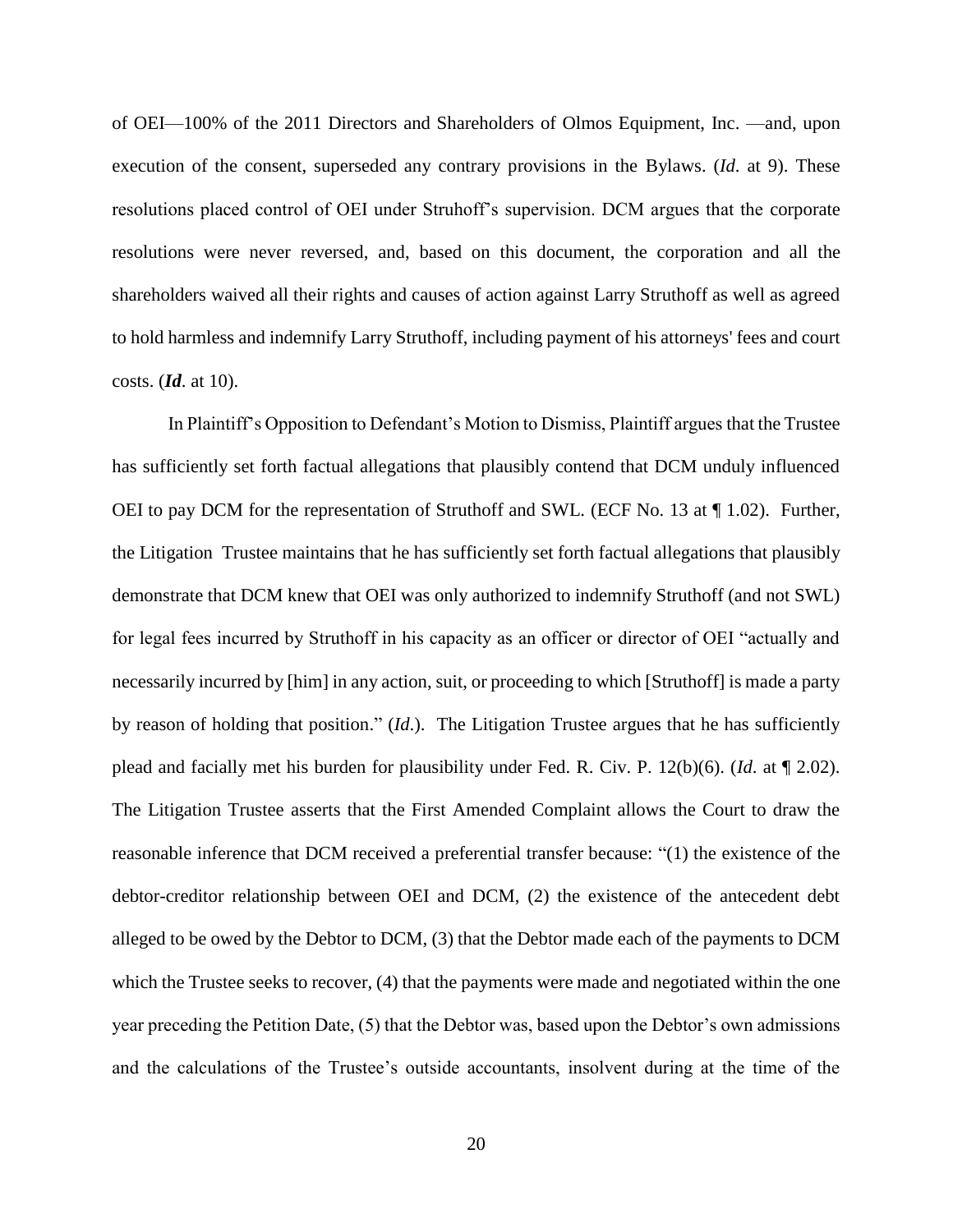of OEI—100% of the 2011 Directors and Shareholders of Olmos Equipment, Inc. —and, upon execution of the consent, superseded any contrary provisions in the Bylaws. (*Id*. at 9). These resolutions placed control of OEI under Struhoff's supervision. DCM argues that the corporate resolutions were never reversed, and, based on this document, the corporation and all the shareholders waived all their rights and causes of action against Larry Struthoff as well as agreed to hold harmless and indemnify Larry Struthoff, including payment of his attorneys' fees and court costs. (*Id*. at 10).

In Plaintiff's Opposition to Defendant's Motion to Dismiss, Plaintiff argues that the Trustee has sufficiently set forth factual allegations that plausibly contend that DCM unduly influenced OEI to pay DCM for the representation of Struthoff and SWL. (ECF No. 13 at ¶ 1.02). Further, the Litigation Trustee maintains that he has sufficiently set forth factual allegations that plausibly demonstrate that DCM knew that OEI was only authorized to indemnify Struthoff (and not SWL) for legal fees incurred by Struthoff in his capacity as an officer or director of OEI "actually and necessarily incurred by [him] in any action, suit, or proceeding to which [Struthoff] is made a party by reason of holding that position." (*Id*.). The Litigation Trustee argues that he has sufficiently plead and facially met his burden for plausibility under Fed. R. Civ. P. 12(b)(6). (*Id*. at ¶ 2.02). The Litigation Trustee asserts that the First Amended Complaint allows the Court to draw the reasonable inference that DCM received a preferential transfer because: "(1) the existence of the debtor-creditor relationship between OEI and DCM, (2) the existence of the antecedent debt alleged to be owed by the Debtor to DCM, (3) that the Debtor made each of the payments to DCM which the Trustee seeks to recover, (4) that the payments were made and negotiated within the one year preceding the Petition Date, (5) that the Debtor was, based upon the Debtor's own admissions and the calculations of the Trustee's outside accountants, insolvent during at the time of the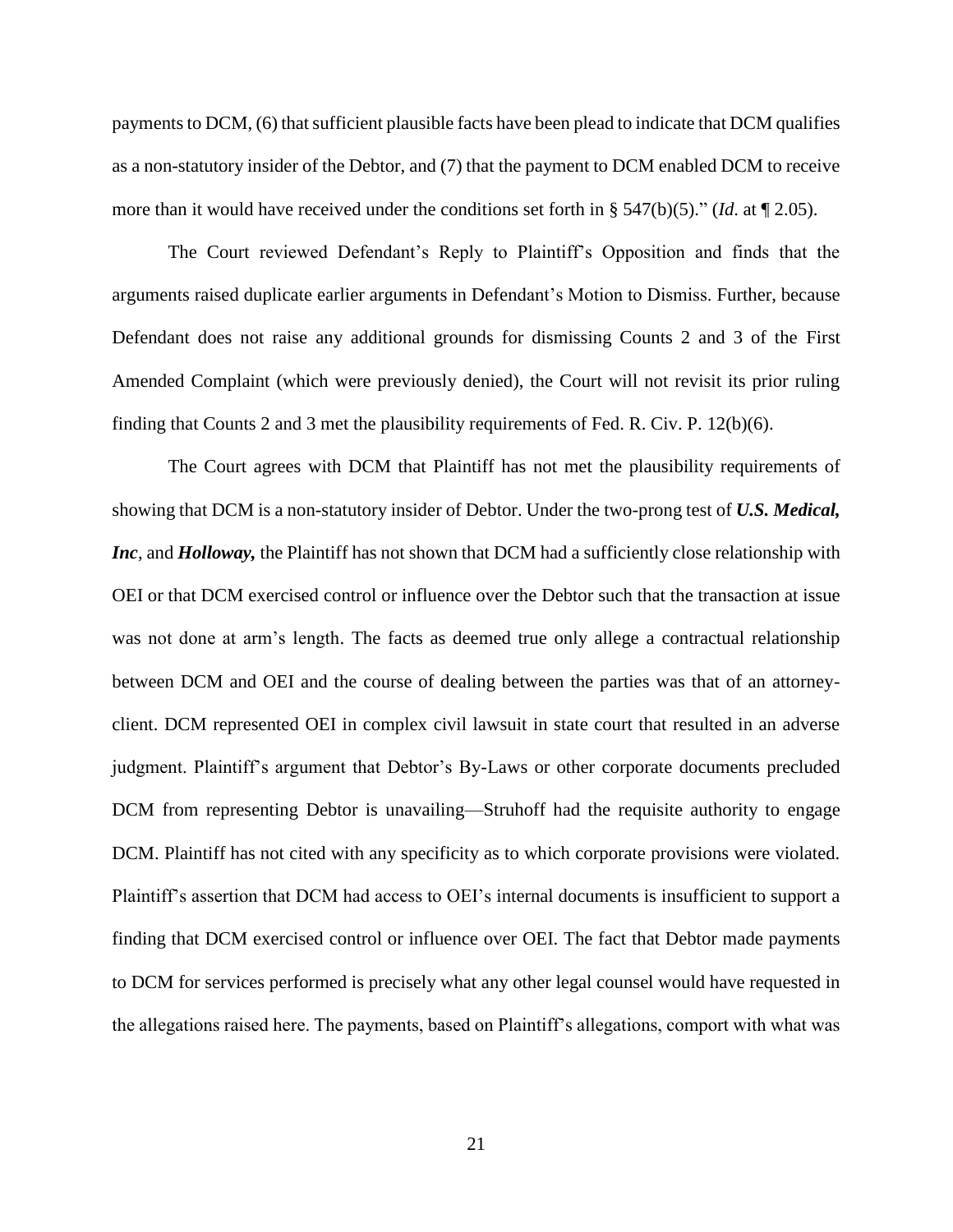payments to DCM, (6) that sufficient plausible facts have been plead to indicate that DCM qualifies as a non-statutory insider of the Debtor, and (7) that the payment to DCM enabled DCM to receive more than it would have received under the conditions set forth in § 547(b)(5)." (*Id*. at ¶ 2.05).

The Court reviewed Defendant's Reply to Plaintiff's Opposition and finds that the arguments raised duplicate earlier arguments in Defendant's Motion to Dismiss. Further, because Defendant does not raise any additional grounds for dismissing Counts 2 and 3 of the First Amended Complaint (which were previously denied), the Court will not revisit its prior ruling finding that Counts 2 and 3 met the plausibility requirements of Fed. R. Civ. P. 12(b)(6).

The Court agrees with DCM that Plaintiff has not met the plausibility requirements of showing that DCM is a non-statutory insider of Debtor. Under the two-prong test of *U.S. Medical, Inc*, and *Holloway*, the Plaintiff has not shown that DCM had a sufficiently close relationship with OEI or that DCM exercised control or influence over the Debtor such that the transaction at issue was not done at arm's length. The facts as deemed true only allege a contractual relationship between DCM and OEI and the course of dealing between the parties was that of an attorneyclient. DCM represented OEI in complex civil lawsuit in state court that resulted in an adverse judgment. Plaintiff's argument that Debtor's By-Laws or other corporate documents precluded DCM from representing Debtor is unavailing—Struhoff had the requisite authority to engage DCM. Plaintiff has not cited with any specificity as to which corporate provisions were violated. Plaintiff's assertion that DCM had access to OEI's internal documents is insufficient to support a finding that DCM exercised control or influence over OEI. The fact that Debtor made payments to DCM for services performed is precisely what any other legal counsel would have requested in the allegations raised here. The payments, based on Plaintiff's allegations, comport with what was